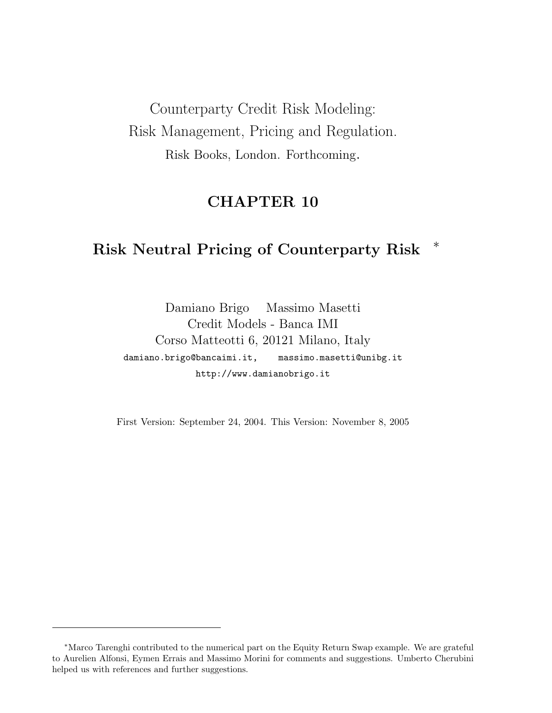Counterparty Credit Risk Modeling: Risk Management, Pricing and Regulation. Risk Books, London. Forthcoming.

# CHAPTER 10

# Risk Neutral Pricing of Counterparty Risk  $*$

Damiano Brigo Massimo Masetti Credit Models - Banca IMI Corso Matteotti 6, 20121 Milano, Italy damiano.brigo@bancaimi.it, massimo.masetti@unibg.it http://www.damianobrigo.it

First Version: September 24, 2004. This Version: November 8, 2005

<sup>∗</sup>Marco Tarenghi contributed to the numerical part on the Equity Return Swap example. We are grateful to Aurelien Alfonsi, Eymen Errais and Massimo Morini for comments and suggestions. Umberto Cherubini helped us with references and further suggestions.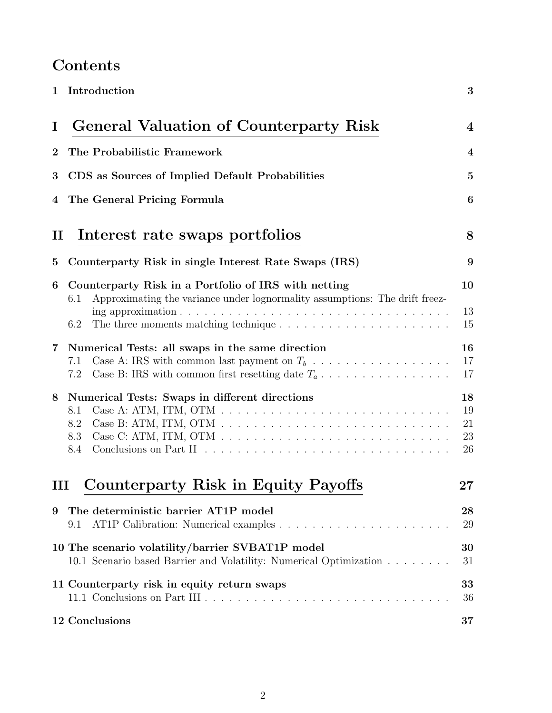# Contents

|                         | 1 Introduction                                                                                                                                                                                           | 3                          |
|-------------------------|----------------------------------------------------------------------------------------------------------------------------------------------------------------------------------------------------------|----------------------------|
| I                       | General Valuation of Counterparty Risk                                                                                                                                                                   | $\boldsymbol{4}$           |
| $\overline{2}$          | The Probabilistic Framework                                                                                                                                                                              | $\overline{\mathbf{4}}$    |
| 3                       | CDS as Sources of Implied Default Probabilities                                                                                                                                                          | $\bf{5}$                   |
| 4                       | The General Pricing Formula                                                                                                                                                                              | 6                          |
| $\mathbf{I}$            | Interest rate swaps portfolios                                                                                                                                                                           | 8                          |
| $\bf{5}$                | Counterparty Risk in single Interest Rate Swaps (IRS)                                                                                                                                                    | 9                          |
| 6                       | Counterparty Risk in a Portfolio of IRS with netting<br>Approximating the variance under lognormality assumptions: The drift freez-<br>6.1                                                               | 10                         |
|                         | ing approximation $\ldots \ldots \ldots \ldots \ldots \ldots \ldots \ldots \ldots \ldots \ldots \ldots \ldots$<br>6.2                                                                                    | 13<br>15                   |
| $\overline{\mathbf{7}}$ | Numerical Tests: all swaps in the same direction<br>Case A: IRS with common last payment on $T_b$<br>7.1<br>Case B: IRS with common first resetting date $T_a \ldots \ldots \ldots \ldots \ldots$<br>7.2 | 16<br>17<br>17             |
| 8                       | Numerical Tests: Swaps in different directions<br>8.1<br>8.2<br>Case C: ATM, ITM, OTM $\ldots \ldots \ldots \ldots \ldots \ldots \ldots \ldots \ldots \ldots \ldots$<br>8.3<br>8.4                       | 18<br>19<br>21<br>23<br>26 |
| Ш                       | Counterparty Risk in Equity Payoffs                                                                                                                                                                      | $27\,$                     |
| 9                       | The deterministic barrier AT1P model<br>9.1                                                                                                                                                              | 28<br>29                   |
|                         | 10 The scenario volatility/barrier SVBAT1P model<br>10.1 Scenario based Barrier and Volatility: Numerical Optimization                                                                                   | 30<br>31                   |
|                         | 11 Counterparty risk in equity return swaps                                                                                                                                                              | 33<br>36                   |
|                         | 12 Conclusions                                                                                                                                                                                           | 37                         |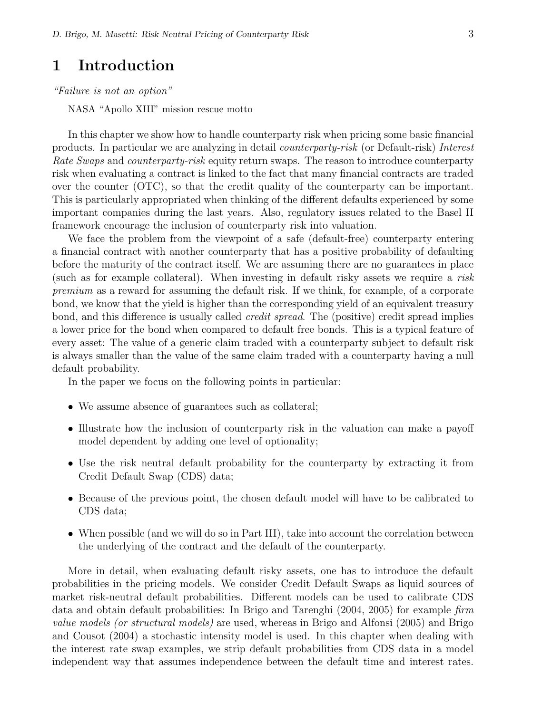## 1 Introduction

"Failure is not an option"

NASA "Apollo XIII" mission rescue motto

In this chapter we show how to handle counterparty risk when pricing some basic financial products. In particular we are analyzing in detail counterparty-risk (or Default-risk) Interest Rate Swaps and counterparty-risk equity return swaps. The reason to introduce counterparty risk when evaluating a contract is linked to the fact that many financial contracts are traded over the counter (OTC), so that the credit quality of the counterparty can be important. This is particularly appropriated when thinking of the different defaults experienced by some important companies during the last years. Also, regulatory issues related to the Basel II framework encourage the inclusion of counterparty risk into valuation.

We face the problem from the viewpoint of a safe (default-free) counterparty entering a financial contract with another counterparty that has a positive probability of defaulting before the maturity of the contract itself. We are assuming there are no guarantees in place (such as for example collateral). When investing in default risky assets we require a risk premium as a reward for assuming the default risk. If we think, for example, of a corporate bond, we know that the yield is higher than the corresponding yield of an equivalent treasury bond, and this difference is usually called *credit spread*. The (positive) credit spread implies a lower price for the bond when compared to default free bonds. This is a typical feature of every asset: The value of a generic claim traded with a counterparty subject to default risk is always smaller than the value of the same claim traded with a counterparty having a null default probability.

In the paper we focus on the following points in particular:

- We assume absence of guarantees such as collateral;
- Illustrate how the inclusion of counterparty risk in the valuation can make a payoff model dependent by adding one level of optionality;
- Use the risk neutral default probability for the counterparty by extracting it from Credit Default Swap (CDS) data;
- Because of the previous point, the chosen default model will have to be calibrated to CDS data;
- When possible (and we will do so in Part III), take into account the correlation between the underlying of the contract and the default of the counterparty.

More in detail, when evaluating default risky assets, one has to introduce the default probabilities in the pricing models. We consider Credit Default Swaps as liquid sources of market risk-neutral default probabilities. Different models can be used to calibrate CDS data and obtain default probabilities: In Brigo and Tarenghi (2004, 2005) for example firm value models (or structural models) are used, whereas in Brigo and Alfonsi (2005) and Brigo and Cousot (2004) a stochastic intensity model is used. In this chapter when dealing with the interest rate swap examples, we strip default probabilities from CDS data in a model independent way that assumes independence between the default time and interest rates.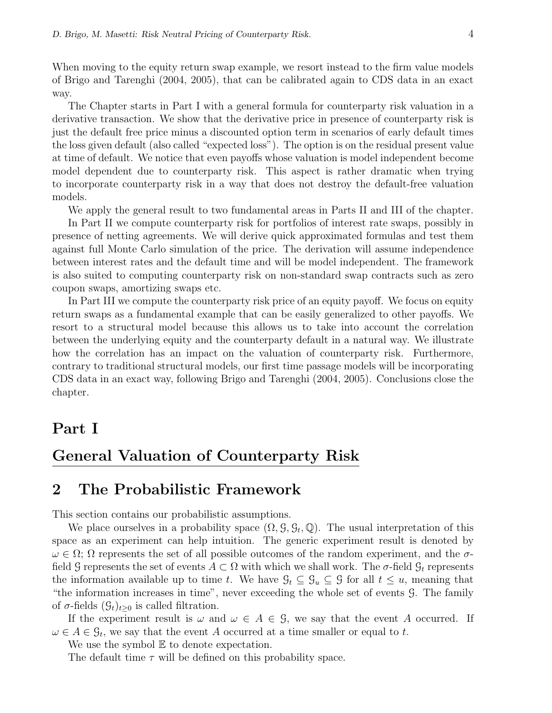When moving to the equity return swap example, we resort instead to the firm value models of Brigo and Tarenghi (2004, 2005), that can be calibrated again to CDS data in an exact way.

The Chapter starts in Part I with a general formula for counterparty risk valuation in a derivative transaction. We show that the derivative price in presence of counterparty risk is just the default free price minus a discounted option term in scenarios of early default times the loss given default (also called "expected loss"). The option is on the residual present value at time of default. We notice that even payoffs whose valuation is model independent become model dependent due to counterparty risk. This aspect is rather dramatic when trying to incorporate counterparty risk in a way that does not destroy the default-free valuation models.

We apply the general result to two fundamental areas in Parts II and III of the chapter.

In Part II we compute counterparty risk for portfolios of interest rate swaps, possibly in presence of netting agreements. We will derive quick approximated formulas and test them against full Monte Carlo simulation of the price. The derivation will assume independence between interest rates and the default time and will be model independent. The framework is also suited to computing counterparty risk on non-standard swap contracts such as zero coupon swaps, amortizing swaps etc.

In Part III we compute the counterparty risk price of an equity payoff. We focus on equity return swaps as a fundamental example that can be easily generalized to other payoffs. We resort to a structural model because this allows us to take into account the correlation between the underlying equity and the counterparty default in a natural way. We illustrate how the correlation has an impact on the valuation of counterparty risk. Furthermore, contrary to traditional structural models, our first time passage models will be incorporating CDS data in an exact way, following Brigo and Tarenghi (2004, 2005). Conclusions close the chapter.

## Part I

## General Valuation of Counterparty Risk

## 2 The Probabilistic Framework

This section contains our probabilistic assumptions.

We place ourselves in a probability space  $(\Omega, \mathcal{G}, \mathcal{G}_t, \mathbb{Q})$ . The usual interpretation of this space as an experiment can help intuition. The generic experiment result is denoted by  $\omega \in \Omega$ ;  $\Omega$  represents the set of all possible outcomes of the random experiment, and the  $\sigma$ field G represents the set of events  $A \subset \Omega$  with which we shall work. The  $\sigma$ -field  $\mathcal{G}_t$  represents the information available up to time t. We have  $\mathcal{G}_t \subseteq \mathcal{G}_u \subseteq \mathcal{G}$  for all  $t \leq u$ , meaning that "the information increases in time", never exceeding the whole set of events G. The family of  $\sigma$ -fields  $(\mathcal{G}_t)_{t\geq 0}$  is called filtration.

If the experiment result is  $\omega$  and  $\omega \in A \in \mathcal{G}$ , we say that the event A occurred. If  $\omega \in A \in \mathcal{G}_t$ , we say that the event A occurred at a time smaller or equal to t.

We use the symbol  $E$  to denote expectation.

The default time  $\tau$  will be defined on this probability space.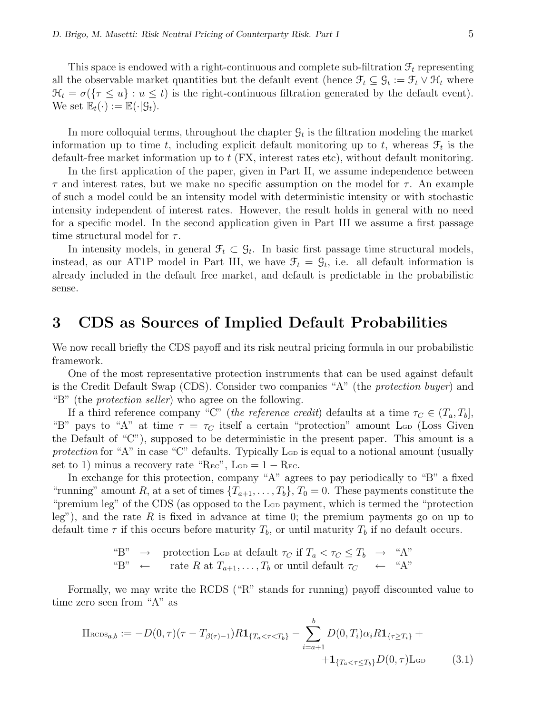This space is endowed with a right-continuous and complete sub-filtration  $\mathcal{F}_t$  representing all the observable market quantities but the default event (hence  $\mathcal{F}_t \subseteq \mathcal{G}_t := \mathcal{F}_t \vee \mathcal{H}_t$  where  $\mathcal{H}_t = \sigma(\{\tau \leq u\} : u \leq t)$  is the right-continuous filtration generated by the default event). We set  $\mathbb{E}_t(\cdot) := \mathbb{E}(\cdot | \mathcal{G}_t)$ .

In more colloquial terms, throughout the chapter  $\mathcal{G}_t$  is the filtration modeling the market information up to time t, including explicit default monitoring up to t, whereas  $\mathcal{F}_t$  is the default-free market information up to  $t$  (FX, interest rates etc), without default monitoring.

In the first application of the paper, given in Part II, we assume independence between  $\tau$  and interest rates, but we make no specific assumption on the model for  $\tau$ . An example of such a model could be an intensity model with deterministic intensity or with stochastic intensity independent of interest rates. However, the result holds in general with no need for a specific model. In the second application given in Part III we assume a first passage time structural model for  $\tau$ .

In intensity models, in general  $\mathcal{F}_t \subset \mathcal{G}_t$ . In basic first passage time structural models, instead, as our AT1P model in Part III, we have  $\mathcal{F}_t = \mathcal{G}_t$ , i.e. all default information is already included in the default free market, and default is predictable in the probabilistic sense.

## 3 CDS as Sources of Implied Default Probabilities

We now recall briefly the CDS payoff and its risk neutral pricing formula in our probabilistic framework.

One of the most representative protection instruments that can be used against default is the Credit Default Swap (CDS). Consider two companies "A" (the protection buyer) and "B" (the protection seller) who agree on the following.

If a third reference company "C" (the reference credit) defaults at a time  $\tau_C \in (T_a, T_b]$ , "B" pays to "A" at time  $\tau = \tau_C$  itself a certain "protection" amount L<sub>GD</sub> (Loss Given the Default of "C"), supposed to be deterministic in the present paper. This amount is a protection for "A" in case "C" defaults. Typically L<sub>GD</sub> is equal to a notional amount (usually set to 1) minus a recovery rate "R<sub>EC</sub>", L<sub>GD</sub> =  $1 -$ R<sub>EC</sub>.

In exchange for this protection, company "A" agrees to pay periodically to "B" a fixed "running" amount R, at a set of times  $\{T_{a+1},...,T_b\}$ ,  $T_0 = 0$ . These payments constitute the "premium leg" of the CDS (as opposed to the L<sub>GD</sub> payment, which is termed the "protection leg"), and the rate R is fixed in advance at time 0; the premium payments go on up to default time  $\tau$  if this occurs before maturity  $T_b$ , or until maturity  $T_b$  if no default occurs.

"
$$
B
$$
"  $\rightarrow$  protection  $L_{\text{GD}}$  at default  $\tau_C$  if  $T_a < \tau_C \leq T_b$   $\rightarrow$  "A"   
\n" $B$ "  $\leftarrow$  rate  $R$  at  $T_{a+1}, \ldots, T_b$  or until default  $\tau_C$   $\leftarrow$  "A"

Formally, we may write the RCDS ("R" stands for running) payoff discounted value to time zero seen from "A" as

$$
\Pi_{\text{RCDS}_{a,b}} := -D(0,\tau)(\tau - T_{\beta(\tau)-1})R\mathbf{1}_{\{T_a < \tau < T_b\}} - \sum_{i=a+1}^{b} D(0,T_i)\alpha_i R \mathbf{1}_{\{\tau \ge T_i\}} + \\ + \mathbf{1}_{\{T_a < \tau \le T_b\}} D(0,\tau)\mathbf{L}_{\text{GD}} \tag{3.1}
$$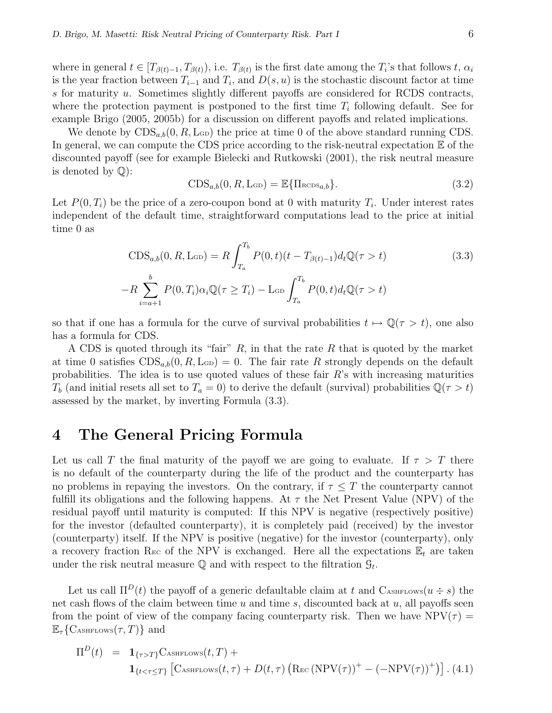where in general  $t \in [T_{\beta(t)-1}, T_{\beta(t)})$ , i.e.  $T_{\beta(t)}$  is the first date among the  $T_i$ 's that follows  $t, \alpha_i$ is the year fraction between  $T_{i-1}$  and  $T_i$ , and  $D(s, u)$  is the stochastic discount factor at time s for maturity u. Sometimes slightly different payoffs are considered for RCDS contracts, where the protection payment is postponed to the first time  $T_i$  following default. See for example Brigo (2005, 2005b) for a discussion on different payoffs and related implications.

We denote by  $CDS_{a,b}(0, R, \text{L}\text{G})$  the price at time 0 of the above standard running CDS. In general, we can compute the CDS price according to the risk-neutral expectation  $E$  of the discounted payoff (see for example Bielecki and Rutkowski (2001), the risk neutral measure is denoted by  $\mathbb{Q}$ :

$$
CDS_{a,b}(0, R, \text{LGD}) = \mathbb{E}\{\Pi_{\text{RCDS}_{a,b}}\}.
$$
\n(3.2)

Let  $P(0,T_i)$  be the price of a zero-coupon bond at 0 with maturity  $T_i$ . Under interest rates independent of the default time, straightforward computations lead to the price at initial time 0 as

$$
CDS_{a,b}(0, R, \text{L}_{GD}) = R \int_{T_a}^{T_b} P(0, t)(t - T_{\beta(t)-1}) d_t \mathbb{Q}(\tau > t)
$$
\n
$$
-R \sum_{i=a+1}^{b} P(0, T_i) \alpha_i \mathbb{Q}(\tau \ge T_i) - \text{L}_{GD} \int_{T_a}^{T_b} P(0, t) d_t \mathbb{Q}(\tau > t)
$$
\n(3.3)

so that if one has a formula for the curve of survival probabilities  $t \mapsto \mathbb{Q}(\tau > t)$ , one also has a formula for CDS.

A CDS is quoted through its "fair"  $R$ , in that the rate R that is quoted by the market at time 0 satisfies  $CDS_{a,b}(0, R, \text{L}_{GD}) = 0$ . The fair rate R strongly depends on the default probabilities. The idea is to use quoted values of these fair  $R$ 's with increasing maturities  $T_b$  (and initial resets all set to  $T_a = 0$ ) to derive the default (survival) probabilities  $\mathbb{Q}(\tau > t)$ assessed by the market, by inverting Formula (3.3).

### 4 The General Pricing Formula

Let us call T the final maturity of the payoff we are going to evaluate. If  $\tau > T$  there is no default of the counterparty during the life of the product and the counterparty has no problems in repaying the investors. On the contrary, if  $\tau \leq T$  the counterparty cannot fulfill its obligations and the following happens. At  $\tau$  the Net Present Value (NPV) of the residual payoff until maturity is computed: If this NPV is negative (respectively positive) for the investor (defaulted counterparty), it is completely paid (received) by the investor (counterparty) itself. If the NPV is positive (negative) for the investor (counterparty), only a recovery fraction R<sub>EC</sub> of the NPV is exchanged. Here all the expectations  $\mathbb{E}_t$  are taken under the risk neutral measure  $\mathbb Q$  and with respect to the filtration  $\mathcal G_t$ .

Let us call  $\Pi^D(t)$  the payoff of a generic defaultable claim at t and  $\text{C}_{\text{ASHFLows}}(u \div s)$  the net cash flows of the claim between time  $u$  and time  $s$ , discounted back at  $u$ , all payoffs seen from the point of view of the company facing counterparty risk. Then we have  $NPV(\tau) =$  $\mathbb{E}_{\tau}\left\{\text{C}_{\text{ASHFLOWS}}(\tau,T)\right\}$  and

$$
\Pi^{D}(t) = \mathbf{1}_{\{\tau > T\}} \text{Cashrevos}(t, T) + \mathbf{1}_{\{t < \tau \leq T\}} \left[ \text{Cashrevos}(t, \tau) + D(t, \tau) \left( \text{Rec} \left( \text{NPV}(\tau) \right)^{+} - \left( - \text{NPV}(\tau) \right)^{+} \right) \right].
$$
 (4.1)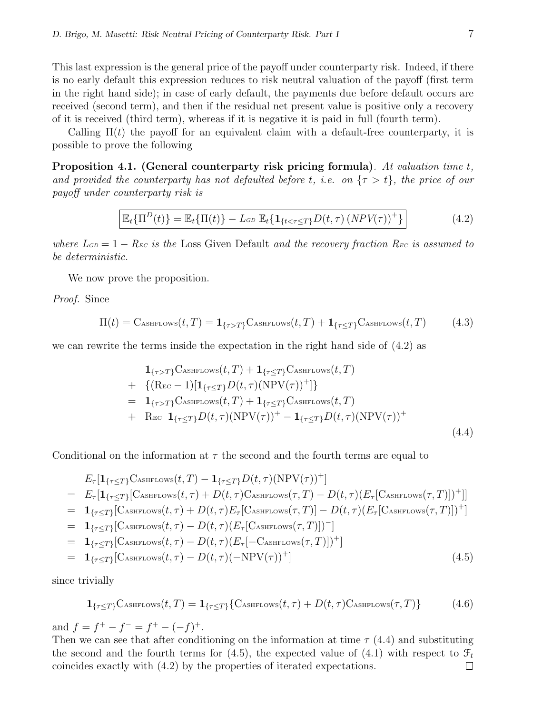This last expression is the general price of the payoff under counterparty risk. Indeed, if there is no early default this expression reduces to risk neutral valuation of the payoff (first term in the right hand side); in case of early default, the payments due before default occurs are received (second term), and then if the residual net present value is positive only a recovery of it is received (third term), whereas if it is negative it is paid in full (fourth term).

Calling  $\Pi(t)$  the payoff for an equivalent claim with a default-free counterparty, it is possible to prove the following

Proposition 4.1. (General counterparty risk pricing formula). At valuation time t, and provided the counterparty has not defaulted before t, i.e. on  $\{\tau > t\}$ , the price of our payoff under counterparty risk is

$$
\mathbb{E}_{t}\{\Pi^{D}(t)\} = \mathbb{E}_{t}\{\Pi(t)\} - L_{GD} \mathbb{E}_{t}\{\mathbf{1}_{\{t < \tau \leq T\}} D(t, \tau) \left(NPV(\tau)\right)^{+}\}\
$$
\n(4.2)

where  $L_{GD} = 1 - R_{EC}$  is the Loss Given Default and the recovery fraction  $R_{EC}$  is assumed to be deterministic.

We now prove the proposition.

Proof. Since

$$
\Pi(t) = \text{Cashflows}(t, T) = \mathbf{1}_{\{\tau > T\}} \text{Cashflows}(t, T) + \mathbf{1}_{\{\tau \le T\}} \text{Cashflows}(t, T) \tag{4.3}
$$

we can rewrite the terms inside the expectation in the right hand side of (4.2) as

$$
\mathbf{1}_{\{\tau>T\}}\text{Cashrrows}(t,T) + \mathbf{1}_{\{\tau \leq T\}}\text{Cashrrows}(t,T)
$$
\n+ { (Rec - 1)[ $\mathbf{1}_{\{\tau \leq T\}}D(t,\tau)(\text{NPV}(\tau))^+}$ ]}  
\n=  $\mathbf{1}_{\{\tau > T\}}\text{Cashrrows}(t,T) + \mathbf{1}_{\{\tau \leq T\}}\text{Cashrrows}(t,T)$   
\n+ Rec  $\mathbf{1}_{\{\tau \leq T\}}D(t,\tau)(\text{NPV}(\tau))^+ - \mathbf{1}_{\{\tau \leq T\}}D(t,\tau)(\text{NPV}(\tau))^+$  (4.4)

Conditional on the information at  $\tau$  the second and the fourth terms are equal to

$$
E_{\tau}[\mathbf{1}_{\{\tau \leq T\}}\text{Cashflows}(t,T) - \mathbf{1}_{\{\tau \leq T\}}D(t,\tau)(\text{NPV}(\tau))^+]
$$
\n
$$
= E_{\tau}[\mathbf{1}_{\{\tau \leq T\}}[\text{Cashflows}(t,\tau) + D(t,\tau)\text{Cashflows}(\tau,T) - D(t,\tau)(E_{\tau}[\text{Cashflows}(\tau,T)])^+]]
$$
\n
$$
= \mathbf{1}_{\{\tau \leq T\}}[\text{Cashflows}(t,\tau) + D(t,\tau)E_{\tau}[\text{Cashflows}(\tau,T)] - D(t,\tau)(E_{\tau}[\text{Cashflows}(\tau,T)])^+]
$$
\n
$$
= \mathbf{1}_{\{\tau \leq T\}}[\text{Cashflows}(t,\tau) - D(t,\tau)(E_{\tau}[\text{Cashflows}(\tau,T)])^-]
$$
\n
$$
= \mathbf{1}_{\{\tau \leq T\}}[\text{Cashflows}(t,\tau) - D(t,\tau)(E_{\tau}[-\text{Cashflows}(\tau,T)])^+]
$$
\n
$$
= \mathbf{1}_{\{\tau \leq T\}}[\text{Cashflows}(t,\tau) - D(t,\tau)(E_{\tau}[-\text{Cashflows}(\tau,T)])^+]
$$
\n(4.5)

since trivially

$$
\mathbf{1}_{\{\tau \leq T\}}\text{Cashrevos}(t,T) = \mathbf{1}_{\{\tau \leq T\}}\{\text{Cashrevos}(t,\tau) + D(t,\tau)\text{Cashrevos}(\tau,T)\}\tag{4.6}
$$

and  $f = f^+ - f^- = f^+ - (-f)^+$ .

Then we can see that after conditioning on the information at time  $\tau$  (4.4) and substituting the second and the fourth terms for (4.5), the expected value of (4.1) with respect to  $\mathcal{F}_t$ coincides exactly with (4.2) by the properties of iterated expectations. $\Box$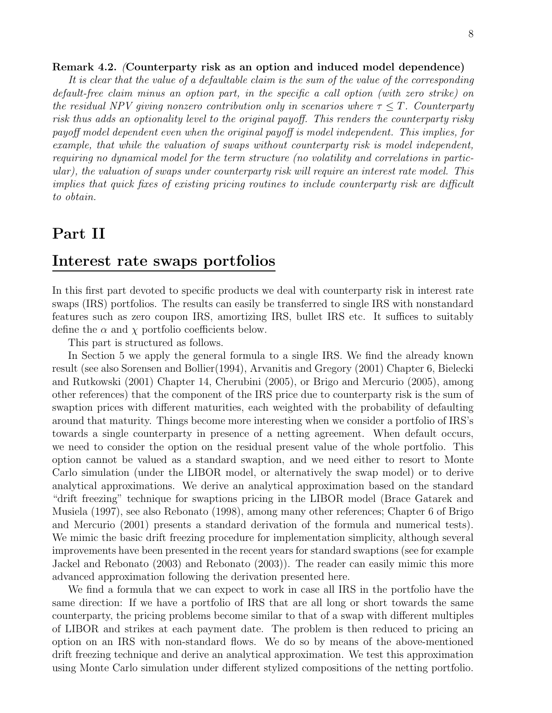#### Remark 4.2. (Counterparty risk as an option and induced model dependence)

It is clear that the value of a defaultable claim is the sum of the value of the corresponding default-free claim minus an option part, in the specific a call option (with zero strike) on the residual NPV giving nonzero contribution only in scenarios where  $\tau \leq T$ . Counterparty risk thus adds an optionality level to the original payoff. This renders the counterparty risky payoff model dependent even when the original payoff is model independent. This implies, for example, that while the valuation of swaps without counterparty risk is model independent, requiring no dynamical model for the term structure (no volatility and correlations in particular), the valuation of swaps under counterparty risk will require an interest rate model. This implies that quick fixes of existing pricing routines to include counterparty risk are difficult to obtain.

## Part II

### Interest rate swaps portfolios

In this first part devoted to specific products we deal with counterparty risk in interest rate swaps (IRS) portfolios. The results can easily be transferred to single IRS with nonstandard features such as zero coupon IRS, amortizing IRS, bullet IRS etc. It suffices to suitably define the  $\alpha$  and  $\chi$  portfolio coefficients below.

This part is structured as follows.

In Section 5 we apply the general formula to a single IRS. We find the already known result (see also Sorensen and Bollier(1994), Arvanitis and Gregory (2001) Chapter 6, Bielecki and Rutkowski (2001) Chapter 14, Cherubini (2005), or Brigo and Mercurio (2005), among other references) that the component of the IRS price due to counterparty risk is the sum of swaption prices with different maturities, each weighted with the probability of defaulting around that maturity. Things become more interesting when we consider a portfolio of IRS's towards a single counterparty in presence of a netting agreement. When default occurs, we need to consider the option on the residual present value of the whole portfolio. This option cannot be valued as a standard swaption, and we need either to resort to Monte Carlo simulation (under the LIBOR model, or alternatively the swap model) or to derive analytical approximations. We derive an analytical approximation based on the standard "drift freezing" technique for swaptions pricing in the LIBOR model (Brace Gatarek and Musiela (1997), see also Rebonato (1998), among many other references; Chapter 6 of Brigo and Mercurio (2001) presents a standard derivation of the formula and numerical tests). We mimic the basic drift freezing procedure for implementation simplicity, although several improvements have been presented in the recent years for standard swaptions (see for example Jackel and Rebonato (2003) and Rebonato (2003)). The reader can easily mimic this more advanced approximation following the derivation presented here.

We find a formula that we can expect to work in case all IRS in the portfolio have the same direction: If we have a portfolio of IRS that are all long or short towards the same counterparty, the pricing problems become similar to that of a swap with different multiples of LIBOR and strikes at each payment date. The problem is then reduced to pricing an option on an IRS with non-standard flows. We do so by means of the above-mentioned drift freezing technique and derive an analytical approximation. We test this approximation using Monte Carlo simulation under different stylized compositions of the netting portfolio.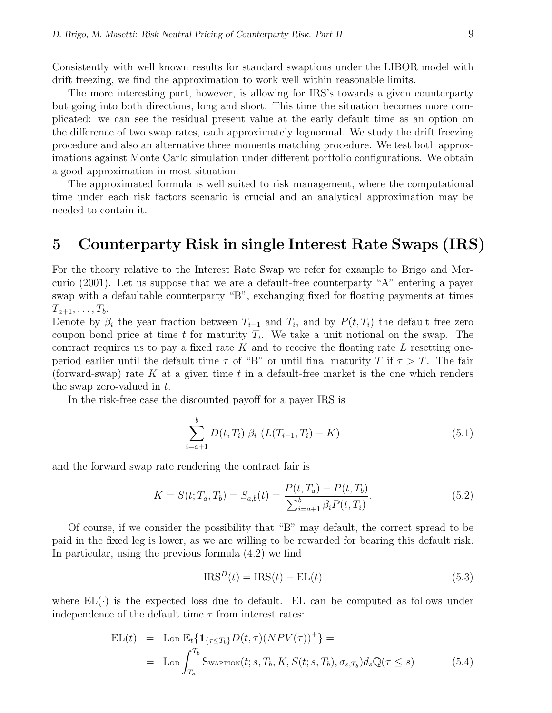Consistently with well known results for standard swaptions under the LIBOR model with drift freezing, we find the approximation to work well within reasonable limits.

The more interesting part, however, is allowing for IRS's towards a given counterparty but going into both directions, long and short. This time the situation becomes more complicated: we can see the residual present value at the early default time as an option on the difference of two swap rates, each approximately lognormal. We study the drift freezing procedure and also an alternative three moments matching procedure. We test both approximations against Monte Carlo simulation under different portfolio configurations. We obtain a good approximation in most situation.

The approximated formula is well suited to risk management, where the computational time under each risk factors scenario is crucial and an analytical approximation may be needed to contain it.

### 5 Counterparty Risk in single Interest Rate Swaps (IRS)

For the theory relative to the Interest Rate Swap we refer for example to Brigo and Mercurio (2001). Let us suppose that we are a default-free counterparty "A" entering a payer swap with a defaultable counterparty "B", exchanging fixed for floating payments at times  $T_{a+1}, \ldots, T_b$ .

Denote by  $\beta_i$  the year fraction between  $T_{i-1}$  and  $T_i$ , and by  $P(t,T_i)$  the default free zero coupon bond price at time t for maturity  $T_i$ . We take a unit notional on the swap. The contract requires us to pay a fixed rate  $K$  and to receive the floating rate  $L$  resetting oneperiod earlier until the default time  $\tau$  of "B" or until final maturity T if  $\tau > T$ . The fair (forward-swap) rate K at a given time t in a default-free market is the one which renders the swap zero-valued in t.

In the risk-free case the discounted payoff for a payer IRS is

$$
\sum_{i=a+1}^{b} D(t, T_i) \beta_i \left( L(T_{i-1}, T_i) - K \right) \tag{5.1}
$$

and the forward swap rate rendering the contract fair is

$$
K = S(t; T_a, T_b) = S_{a,b}(t) = \frac{P(t, T_a) - P(t, T_b)}{\sum_{i=a+1}^{b} \beta_i P(t, T_i)}.
$$
\n(5.2)

Of course, if we consider the possibility that "B" may default, the correct spread to be paid in the fixed leg is lower, as we are willing to be rewarded for bearing this default risk. In particular, using the previous formula (4.2) we find

$$
IRSD(t) = IRS(t) - EL(t)
$$
\n(5.3)

where  $EL(\cdot)$  is the expected loss due to default. EL can be computed as follows under independence of the default time  $\tau$  from interest rates:

$$
\begin{aligned} \text{EL}(t) &= \text{Lop } \mathbb{E}_t \{ \mathbf{1}_{\{\tau \le T_b\}} D(t, \tau) (NPV(\tau))^+ \} = \\ &= \text{Lop } \int_{T_a}^{T_b} \text{Swarrow}(t; s, T_b, K, S(t; s, T_b), \sigma_{s, T_b}) d_s \mathbb{Q}(\tau \le s) \end{aligned} \tag{5.4}
$$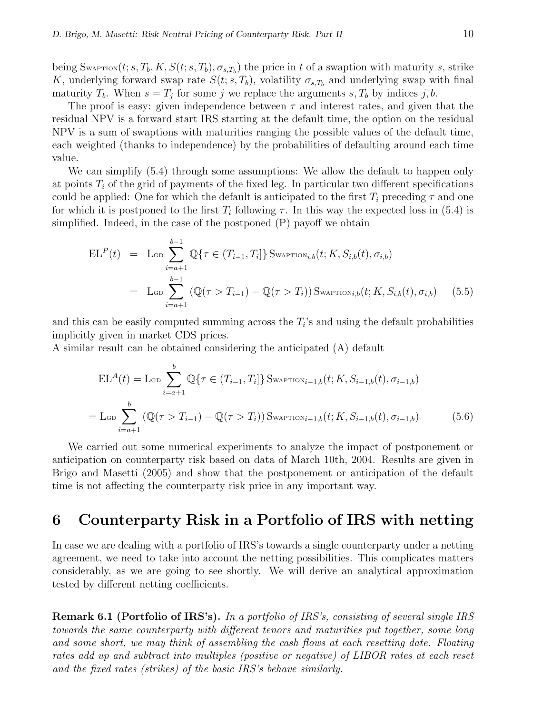being  $\text{Swarrow}(t; s, T_b, K, S(t; s, T_b), \sigma_{s,T_b})$  the price in t of a swaption with maturity s, strike K, underlying forward swap rate  $S(t; s, T_b)$ , volatility  $\sigma_{s,T_b}$  and underlying swap with final maturity  $T_b$ . When  $s = T_j$  for some j we replace the arguments  $s, T_b$  by indices j, b.

The proof is easy: given independence between  $\tau$  and interest rates, and given that the residual NPV is a forward start IRS starting at the default time, the option on the residual NPV is a sum of swaptions with maturities ranging the possible values of the default time, each weighted (thanks to independence) by the probabilities of defaulting around each time value.

We can simplify (5.4) through some assumptions: We allow the default to happen only at points  $T_i$  of the grid of payments of the fixed leg. In particular two different specifications could be applied: One for which the default is anticipated to the first  $T_i$  preceding  $\tau$  and one for which it is postponed to the first  $T_i$  following  $\tau$ . In this way the expected loss in (5.4) is simplified. Indeed, in the case of the postponed (P) payoff we obtain

$$
\begin{split} \text{EL}^{P}(t) &= \text{L}_{\text{GD}} \sum_{i=a+1}^{b-1} \mathbb{Q}\{\tau \in (T_{i-1}, T_{i}]\} \text{Swarrow}_{i,b}(t; K, S_{i,b}(t), \sigma_{i,b}) \\ &= \text{L}_{\text{GD}} \sum_{i=a+1}^{b-1} \left(\mathbb{Q}(\tau > T_{i-1}) - \mathbb{Q}(\tau > T_{i})\right) \text{Swarrow}_{i,b}(t; K, S_{i,b}(t), \sigma_{i,b}) \end{split} \tag{5.5}
$$

and this can be easily computed summing across the  $T_i$ 's and using the default probabilities implicitly given in market CDS prices.

A similar result can be obtained considering the anticipated (A) default

$$
EL^{A}(t) = L_{GD} \sum_{i=a+1}^{b} \mathbb{Q}\{\tau \in (T_{i-1}, T_{i}]\} \text{Swaprion}_{i-1,b}(t; K, S_{i-1,b}(t), \sigma_{i-1,b})
$$

$$
= L_{GD} \sum_{i=a+1}^{b} (\mathbb{Q}(\tau > T_{i-1}) - \mathbb{Q}(\tau > T_{i})) \text{Swaprion}_{i-1,b}(t; K, S_{i-1,b}(t), \sigma_{i-1,b})
$$
(5.6)

We carried out some numerical experiments to analyze the impact of postponement or anticipation on counterparty risk based on data of March 10th, 2004. Results are given in Brigo and Masetti (2005) and show that the postponement or anticipation of the default time is not affecting the counterparty risk price in any important way.

## 6 Counterparty Risk in a Portfolio of IRS with netting

In case we are dealing with a portfolio of IRS's towards a single counterparty under a netting agreement, we need to take into account the netting possibilities. This complicates matters considerably, as we are going to see shortly. We will derive an analytical approximation tested by different netting coefficients.

Remark 6.1 (Portfolio of IRS's). In a portfolio of IRS's, consisting of several single IRS towards the same counterparty with different tenors and maturities put together, some long and some short, we may think of assembling the cash flows at each resetting date. Floating rates add up and subtract into multiples (positive or negative) of LIBOR rates at each reset and the fixed rates (strikes) of the basic IRS's behave similarly.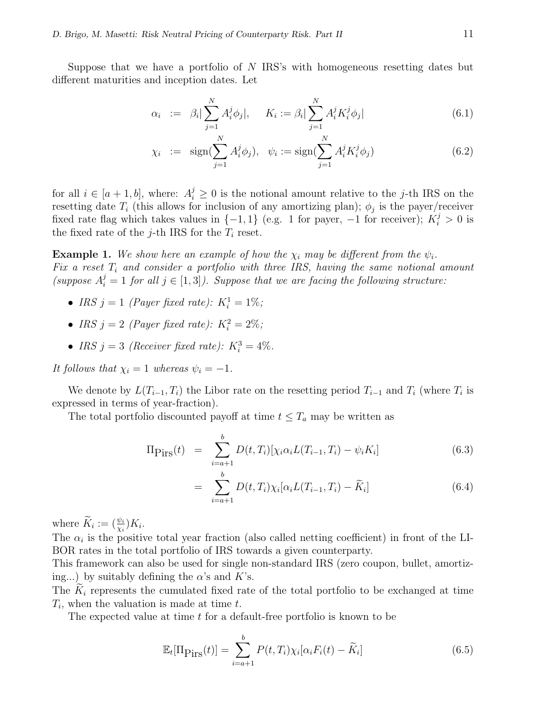Suppose that we have a portfolio of  $N$  IRS's with homogeneous resetting dates but different maturities and inception dates. Let

$$
\alpha_i \ := \ \beta_i \big| \sum_{j=1}^N A_i^j \phi_j \big|, \quad K_i := \beta_i \big| \sum_{j=1}^N A_i^j K_i^j \phi_j \big| \tag{6.1}
$$

$$
\chi_i := \text{sign}(\sum_{j=1}^N A_i^j \phi_j), \quad \psi_i := \text{sign}(\sum_{j=1}^N A_i^j K_i^j \phi_j) \tag{6.2}
$$

for all  $i \in [a+1,b]$ , where:  $A_i^j \geq 0$  is the notional amount relative to the j-th IRS on the resetting date  $T_i$  (this allows for inclusion of any amortizing plan);  $\phi_j$  is the payer/receiver fixed rate flag which takes values in  $\{-1,1\}$  (e.g. 1 for payer,  $-1$  for receiver);  $K_i^j > 0$  is the fixed rate of the j-th IRS for the  $T_i$  reset.

**Example 1.** We show here an example of how the  $\chi_i$  may be different from the  $\psi_i$ . Fix a reset  $T_i$  and consider a portfolio with three IRS, having the same notional amount (suppose  $A_i^j = 1$  for all  $j \in [1,3]$ ). Suppose that we are facing the following structure:

- IRS  $j = 1$  (Payer fixed rate):  $K_i^1 = 1\%;$
- IRS  $j = 2$  (Payer fixed rate):  $K_i^2 = 2\%;$
- IRS  $j = 3$  (Receiver fixed rate):  $K_i^3 = 4\%.$

It follows that  $\chi_i = 1$  whereas  $\psi_i = -1$ .

We denote by  $L(T_{i-1}, T_i)$  the Libor rate on the resetting period  $T_{i-1}$  and  $T_i$  (where  $T_i$  is expressed in terms of year-fraction).

The total portfolio discounted payoff at time  $t \leq T_a$  may be written as

$$
\Pi_{\text{Pirs}}(t) = \sum_{i=a+1}^{b} D(t, T_i) [\chi_i \alpha_i L(T_{i-1}, T_i) - \psi_i K_i]
$$
(6.3)

$$
= \sum_{i=a+1}^{b} D(t, T_i) \chi_i[\alpha_i L(T_{i-1}, T_i) - \widetilde{K}_i]
$$
\n(6.4)

where  $\widetilde{K}_i := \left(\frac{\psi_i}{\chi_i}\right) K_i$ .

The  $\alpha_i$  is the positive total year fraction (also called netting coefficient) in front of the LI-BOR rates in the total portfolio of IRS towards a given counterparty.

This framework can also be used for single non-standard IRS (zero coupon, bullet, amortizing...) by suitably defining the  $\alpha$ 's and K's.

The  $K_i$  represents the cumulated fixed rate of the total portfolio to be exchanged at time  $T_i$ , when the valuation is made at time t.

The expected value at time  $t$  for a default-free portfolio is known to be

$$
\mathbb{E}_{t}[\Pi_{\text{Pirs}}(t)] = \sum_{i=a+1}^{b} P(t, T_i) \chi_i[\alpha_i F_i(t) - \widetilde{K}_i]
$$
\n(6.5)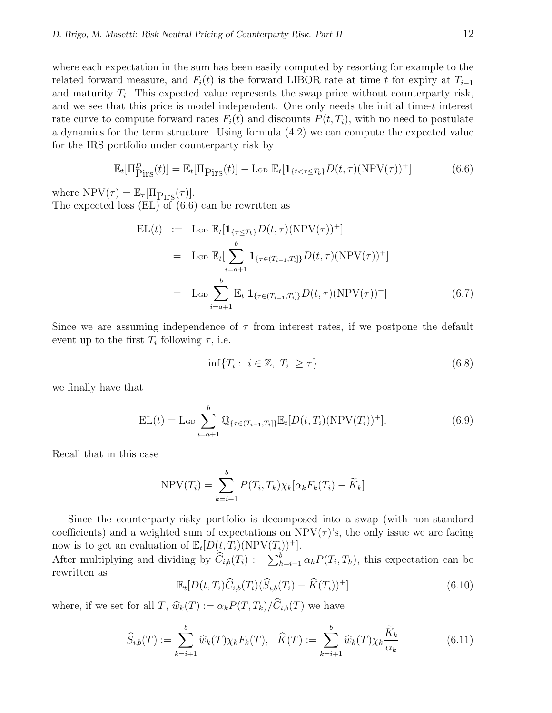where each expectation in the sum has been easily computed by resorting for example to the related forward measure, and  $F_i(t)$  is the forward LIBOR rate at time t for expiry at  $T_{i-1}$ and maturity  $T_i$ . This expected value represents the swap price without counterparty risk, and we see that this price is model independent. One only needs the initial time-t interest rate curve to compute forward rates  $F_i(t)$  and discounts  $P(t, T_i)$ , with no need to postulate a dynamics for the term structure. Using formula (4.2) we can compute the expected value for the IRS portfolio under counterparty risk by

$$
\mathbb{E}_t[\Pi_{\text{Pirs}}^D(t)] = \mathbb{E}_t[\Pi_{\text{Pirs}}(t)] - \text{Lop } \mathbb{E}_t[\mathbf{1}_{\{t < \tau \le T_b\}} D(t, \tau)(\text{NPV}(\tau))^+]
$$
(6.6)

where  $NPV(\tau) = \mathbb{E}_{\tau}[\Pi_{\text{Pirs}}(\tau)].$ 

The expected loss (EL) of (6.6) can be rewritten as

$$
\begin{aligned}\n\text{EL}(t) &:= \operatorname{L_{GD}} \mathbb{E}_t[\mathbf{1}_{\{\tau \le T_b\}} D(t, \tau)(\text{NPV}(\tau))^+] \\
&= \operatorname{L_{GD}} \mathbb{E}_t[\sum_{i=a+1}^b \mathbf{1}_{\{\tau \in (T_{i-1}, T_i]\}} D(t, \tau)(\text{NPV}(\tau))^+] \\
&= \operatorname{L_{GD}} \sum_{i=a+1}^b \mathbb{E}_t[\mathbf{1}_{\{\tau \in (T_{i-1}, T_i]\}} D(t, \tau)(\text{NPV}(\tau))^+] \tag{6.7}\n\end{aligned}
$$

Since we are assuming independence of  $\tau$  from interest rates, if we postpone the default event up to the first  $T_i$  following  $\tau$ , i.e.

$$
\inf\{T_i: i \in \mathbb{Z}, T_i \ge \tau\} \tag{6.8}
$$

we finally have that

$$
EL(t) = L_{GD} \sum_{i=a+1}^{b} \mathbb{Q}_{\{\tau \in (T_{i-1}, T_i]\}} E_t[D(t, T_i)(NPV(T_i))^+].
$$
\n(6.9)

Recall that in this case

$$
\text{NPV}(T_i) = \sum_{k=i+1}^{b} P(T_i, T_k) \chi_k[\alpha_k F_k(T_i) - \widetilde{K}_k]
$$

Since the counterparty-risky portfolio is decomposed into a swap (with non-standard coefficients) and a weighted sum of expectations on  $NPV(\tau)$ 's, the only issue we are facing now is to get an evaluation of  $\mathbb{E}_t[D(t,T_i)(\text{NPV}(T_i))^+]$ .<br>After multiplying and dividing by  $\widehat{C}_{i,b}(T_i) := \sum_{h=i+1}^b \alpha_h P(T_i,T_h)$ , this expectation can be

rewritten as

$$
\mathbb{E}_t[D(t,T_i)\widehat{C}_{i,b}(T_i)(\widehat{S}_{i,b}(T_i)-\widehat{K}(T_i))^+]
$$
\n(6.10)

where, if we set for all  $T$ ,  $\widehat{w}_k(T) := \alpha_k P(T, T_k)/\widehat{C}_{i,b}(T)$  we have

$$
\widehat{S}_{i,b}(T) := \sum_{k=i+1}^{b} \widehat{w}_k(T) \chi_k F_k(T), \quad \widehat{K}(T) := \sum_{k=i+1}^{b} \widehat{w}_k(T) \chi_k \frac{\widetilde{K}_k}{\alpha_k} \tag{6.11}
$$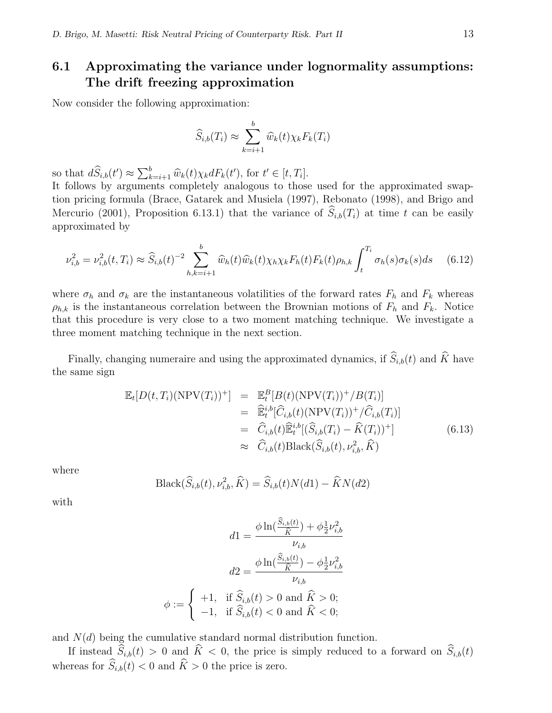### 6.1 Approximating the variance under lognormality assumptions: The drift freezing approximation

Now consider the following approximation:

$$
\widehat{S}_{i,b}(T_i) \approx \sum_{k=i+1}^{b} \widehat{w}_k(t) \chi_k F_k(T_i)
$$

so that  $d\widehat{S}_{i,b}(t') \approx \sum_{k}^{b}$  $_{k=i+1}^b \widehat{w}_k(t) \chi_k dF_k(t')$ , for  $t' \in [t, T_i]$ . It follows by arguments completely analogous to those used for the approximated swaption pricing formula (Brace, Gatarek and Musiela (1997), Rebonato (1998), and Brigo and Mercurio (2001), Proposition 6.13.1) that the variance of  $\hat{S}_{i,b}(T_i)$  at time t can be easily approximated by

$$
\nu_{i,b}^2 = \nu_{i,b}^2(t, T_i) \approx \hat{S}_{i,b}(t)^{-2} \sum_{h,k=i+1}^b \hat{w}_h(t) \hat{w}_k(t) \chi_h \chi_k F_h(t) F_k(t) \rho_{h,k} \int_t^{T_i} \sigma_h(s) \sigma_k(s) ds \quad (6.12)
$$

where  $\sigma_h$  and  $\sigma_k$  are the instantaneous volatilities of the forward rates  $F_h$  and  $F_k$  whereas  $\rho_{h,k}$  is the instantaneous correlation between the Brownian motions of  $F_h$  and  $F_k$ . Notice that this procedure is very close to a two moment matching technique. We investigate a three moment matching technique in the next section.

Finally, changing numeraire and using the approximated dynamics, if  $\widehat{S}_{i,b}(t)$  and  $\widehat{K}$  have the same sign

$$
\mathbb{E}_{t}[D(t,T_{i})(\text{NPV}(T_{i}))^{+}] = \mathbb{E}_{t}^{B}[B(t)(\text{NPV}(T_{i}))^{+}/B(T_{i})]
$$
\n
$$
= \widehat{\mathbb{E}}_{t}^{i,b}[\widehat{C}_{i,b}(t)(\text{NPV}(T_{i}))^{+}/\widehat{C}_{i,b}(T_{i})]
$$
\n
$$
= \widehat{C}_{i,b}(t)\widehat{\mathbb{E}}_{t}^{i,b}[(\widehat{S}_{i,b}(T_{i}) - \widehat{K}(T_{i}))^{+}]
$$
\n
$$
\approx \widehat{C}_{i,b}(t)\text{Black}(\widehat{S}_{i,b}(t),\nu_{i,b}^{2},\widehat{K})
$$
\n(6.13)

where

$$
Black(\widehat{S}_{i,b}(t), \nu_{i,b}^2, \widehat{K}) = \widehat{S}_{i,b}(t)N(d1) - \widehat{K}N(d2)
$$

with

$$
d1 = \frac{\phi \ln(\frac{\hat{S}_{i,b}(t)}{\hat{K}}) + \phi_{\frac{1}{2}}^{1} \nu_{i,b}^{2}}{\nu_{i,b}}
$$

$$
d2 = \frac{\phi \ln(\frac{\hat{S}_{i,b}(t)}{\hat{K}}) - \phi_{\frac{1}{2}}^{1} \nu_{i,b}^{2}}{\nu_{i,b}}
$$

$$
\phi := \begin{cases} +1, & \text{if } \hat{S}_{i,b}(t) > 0 \text{ and } \hat{K} > 0; \\ -1, & \text{if } \hat{S}_{i,b}(t) < 0 \text{ and } \hat{K} < 0; \end{cases}
$$

and  $N(d)$  being the cumulative standard normal distribution function.

If instead  $\hat{S}_{i,b}(t) > 0$  and  $\hat{K} < 0$ , the price is simply reduced to a forward on  $\hat{S}_{i,b}(t)$ whereas for  $\widehat{S}_{i,b}(t) < 0$  and  $\widehat{K} > 0$  the price is zero.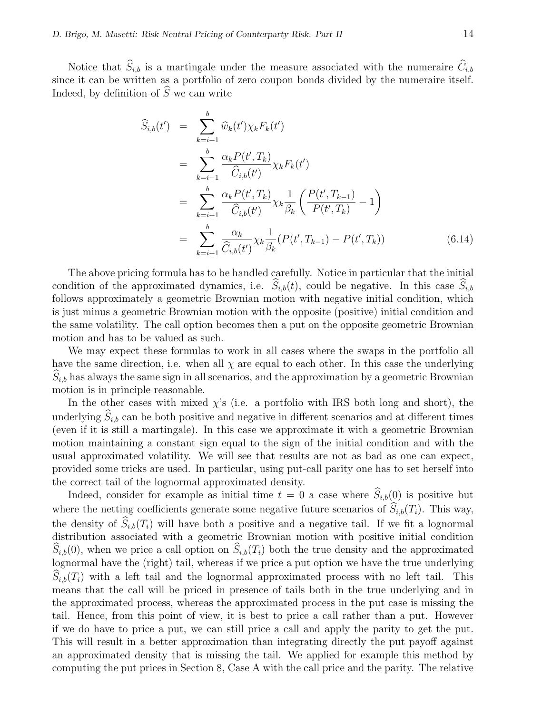Notice that  $\widehat{S}_{i,b}$  is a martingale under the measure associated with the numeraire  $\widehat{C}_{i,b}$ since it can be written as a portfolio of zero coupon bonds divided by the numeraire itself. Indeed, by definition of  $\widehat{S}$  we can write

$$
\widehat{S}_{i,b}(t') = \sum_{k=i+1}^{b} \widehat{w}_k(t') \chi_k F_k(t')
$$
\n
$$
= \sum_{k=i+1}^{b} \frac{\alpha_k P(t', T_k)}{\widehat{C}_{i,b}(t')} \chi_k F_k(t')
$$
\n
$$
= \sum_{k=i+1}^{b} \frac{\alpha_k P(t', T_k)}{\widehat{C}_{i,b}(t')} \chi_k \frac{1}{\beta_k} \left( \frac{P(t', T_{k-1})}{P(t', T_k)} - 1 \right)
$$
\n
$$
= \sum_{k=i+1}^{b} \frac{\alpha_k}{\widehat{C}_{i,b}(t')} \chi_k \frac{1}{\beta_k} (P(t', T_{k-1}) - P(t', T_k)) \tag{6.14}
$$

The above pricing formula has to be handled carefully. Notice in particular that the initial condition of the approximated dynamics, i.e.  $\widehat{S}_{i,b}(t)$ , could be negative. In this case  $\widehat{S}_{i,b}$ follows approximately a geometric Brownian motion with negative initial condition, which is just minus a geometric Brownian motion with the opposite (positive) initial condition and the same volatility. The call option becomes then a put on the opposite geometric Brownian motion and has to be valued as such.

We may expect these formulas to work in all cases where the swaps in the portfolio all have the same direction, i.e. when all  $\chi$  are equal to each other. In this case the underlying  $S_{i,b}$  has always the same sign in all scenarios, and the approximation by a geometric Brownian motion is in principle reasonable.

In the other cases with mixed  $\chi$ 's (i.e. a portfolio with IRS both long and short), the underlying  $\hat{S}_{i,b}$  can be both positive and negative in different scenarios and at different times (even if it is still a martingale). In this case we approximate it with a geometric Brownian motion maintaining a constant sign equal to the sign of the initial condition and with the usual approximated volatility. We will see that results are not as bad as one can expect, provided some tricks are used. In particular, using put-call parity one has to set herself into the correct tail of the lognormal approximated density.

Indeed, consider for example as initial time  $t = 0$  a case where  $\widehat{S}_{i,b}(0)$  is positive but where the netting coefficients generate some negative future scenarios of  $\widehat{S}_{i,b}(T_i)$ . This way, the density of  $\widehat{S}_{i,b}(T_i)$  will have both a positive and a negative tail. If we fit a lognormal distribution associated with a geometric Brownian motion with positive initial condition  $\widehat{S}_{i,b}(0)$ , when we price a call option on  $\widehat{S}_{i,b}(T_i)$  both the true density and the approximated lognormal have the (right) tail, whereas if we price a put option we have the true underlying  $\widehat{S}_{i,b}(T_i)$  with a left tail and the lognormal approximated process with no left tail. This means that the call will be priced in presence of tails both in the true underlying and in the approximated process, whereas the approximated process in the put case is missing the tail. Hence, from this point of view, it is best to price a call rather than a put. However if we do have to price a put, we can still price a call and apply the parity to get the put. This will result in a better approximation than integrating directly the put payoff against an approximated density that is missing the tail. We applied for example this method by computing the put prices in Section 8, Case A with the call price and the parity. The relative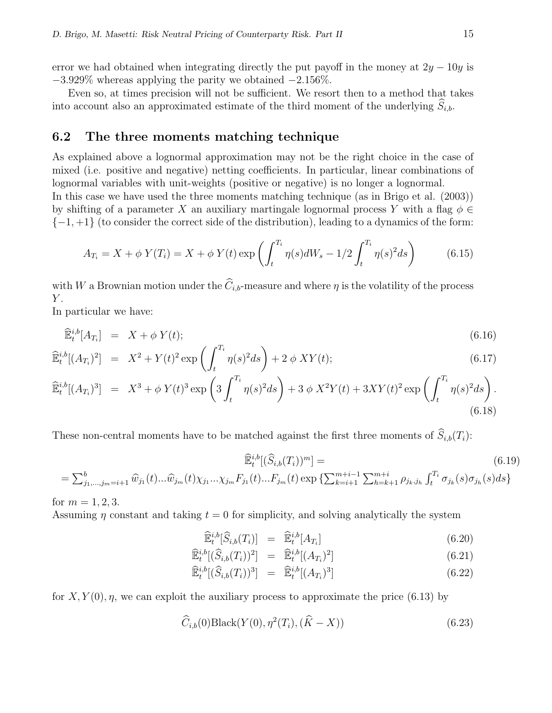error we had obtained when integrating directly the put payoff in the money at  $2y - 10y$  is  $-3.929\%$  whereas applying the parity we obtained  $-2.156\%$ .

Even so, at times precision will not be sufficient. We resort then to a method that takes into account also an approximated estimate of the third moment of the underlying  $S_{i,b}$ .

#### 6.2 The three moments matching technique

As explained above a lognormal approximation may not be the right choice in the case of mixed (i.e. positive and negative) netting coefficients. In particular, linear combinations of lognormal variables with unit-weights (positive or negative) is no longer a lognormal.

In this case we have used the three moments matching technique (as in Brigo et al. (2003)) by shifting of a parameter X an auxiliary martingale lognormal process Y with a flag  $\phi \in$  ${-1, +1}$  (to consider the correct side of the distribution), leading to a dynamics of the form:

$$
A_{T_i} = X + \phi Y(T_i) = X + \phi Y(t) \exp\left(\int_t^{T_i} \eta(s) dW_s - 1/2 \int_t^{T_i} \eta(s)^2 ds\right)
$$
(6.15)

with W a Brownian motion under the  $\widehat{C}_{i,b}$ -measure and where  $\eta$  is the volatility of the process  $Y$ .

In particular we have:

$$
\widehat{\mathbb{E}}_t^{i,b}[A_{T_i}] = X + \phi Y(t); \tag{6.16}
$$

$$
\widehat{\mathbb{E}}_t^{i,b}[(A_{T_i})^2] = X^2 + Y(t)^2 \exp\left(\int_t^{T_i} \eta(s)^2 ds\right) + 2 \phi XY(t); \tag{6.17}
$$

$$
\widehat{\mathbb{E}}_t^{i,b}[(A_{T_i})^3] = X^3 + \phi Y(t)^3 \exp\left(3 \int_t^{T_i} \eta(s)^2 ds\right) + 3 \phi X^2 Y(t) + 3XY(t)^2 \exp\left(\int_t^{T_i} \eta(s)^2 ds\right). \tag{6.18}
$$

These non-central moments have to be matched against the first three moments of  $\widehat{S}_{i,b}(T_i)$ :

$$
\widehat{\mathbb{E}}_t^{i,b}[(\widehat{S}_{i,b}(T_i))^m] =
$$
\n
$$
= \sum_{j_1,\dots,j_m=i+1}^b \widehat{w}_{j_1}(t)\dots\widehat{w}_{j_m}(t)\chi_{j_1}\dots\chi_{j_m}F_{j_1}(t)\dots F_{j_m}(t)\exp\left\{\sum_{k=i+1}^{m+i-1}\sum_{h=k+1}^{m+i}\rho_{j_k,j_h}\int_t^{T_i}\sigma_{j_k}(s)\sigma_{j_h}(s)ds\right\}
$$
\n(6.19)

for  $m = 1, 2, 3$ .

Assuming  $\eta$  constant and taking  $t = 0$  for simplicity, and solving analytically the system

$$
\widehat{\mathbb{E}}_t^{i,b} [\widehat{S}_{i,b}(T_i)] = \widehat{\mathbb{E}}_t^{i,b}[A_{T_i}] \tag{6.20}
$$

$$
\widehat{\mathbb{E}}_t^{i,b}[(\widehat{S}_{i,b}(T_i))^2] = \widehat{\mathbb{E}}_t^{i,b}[(A_{T_i})^2]
$$
\n(6.21)

$$
\widehat{\mathbb{E}}_t^{i,b}[(\widehat{S}_{i,b}(T_i))^3] = \widehat{\mathbb{E}}_t^{i,b}[(A_{T_i})^3]
$$
\n(6.22)

for  $X, Y(0), \eta$ , we can exploit the auxiliary process to approximate the price (6.13) by

$$
\widehat{C}_{i,b}(0)\text{Black}(Y(0),\eta^2(T_i),(\widehat{K}-X))
$$
\n(6.23)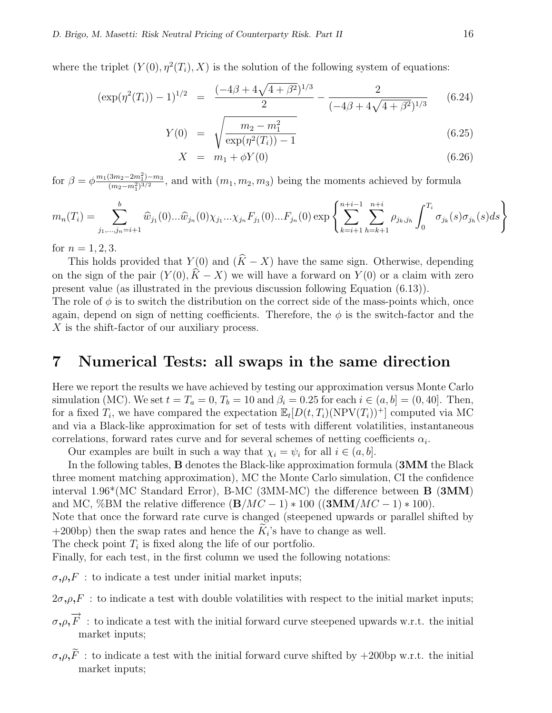where the triplet  $(Y(0), \eta^2(T_i), X)$  is the solution of the following system of equations:

$$
(\exp(\eta^2(T_i)) - 1)^{1/2} = \frac{(-4\beta + 4\sqrt{4 + \beta^2})^{1/3}}{2} - \frac{2}{(-4\beta + 4\sqrt{4 + \beta^2})^{1/3}} \tag{6.24}
$$

$$
Y(0) = \sqrt{\frac{m_2 - m_1^2}{\exp(\eta^2(T_i)) - 1}}
$$
(6.25)

$$
X = m_1 + \phi Y(0) \tag{6.26}
$$

for  $\beta = \phi \frac{m_1(3m_2 - 2m_1^2) - m_3}{(m_2 - m_1^2)^{3/2}}$  $\frac{(3m_2-2m_1^2)-m_3}{(m_2-m_1^2)^{3/2}}$ , and with  $(m_1, m_2, m_3)$  being the moments achieved by formula

$$
m_n(T_i) = \sum_{j_1,\dots,j_n=i+1}^b \widehat{w}_{j_1}(0)\dots\widehat{w}_{j_n}(0)\chi_{j_1}\dots\chi_{j_n}F_{j_1}(0)\dots F_{j_n}(0)\exp\left\{\sum_{k=i+1}^{n+i-1}\sum_{h=k+1}^{n+i} \rho_{j_k,j_h}\int_0^{T_i} \sigma_{j_k}(s)\sigma_{j_h}(s)ds\right\}
$$

for  $n = 1, 2, 3$ .

This holds provided that  $Y(0)$  and  $(\widehat{K} - X)$  have the same sign. Otherwise, depending on the sign of the pair  $(Y(0), \hat{K} - X)$  we will have a forward on  $Y(0)$  or a claim with zero present value (as illustrated in the previous discussion following Equation (6.13)).

The role of  $\phi$  is to switch the distribution on the correct side of the mass-points which, once again, depend on sign of netting coefficients. Therefore, the  $\phi$  is the switch-factor and the X is the shift-factor of our auxiliary process.

### 7 Numerical Tests: all swaps in the same direction

Here we report the results we have achieved by testing our approximation versus Monte Carlo simulation (MC). We set  $t = T_a = 0$ ,  $T_b = 10$  and  $\beta_i = 0.25$  for each  $i \in (a, b] = (0, 40]$ . Then, for a fixed  $T_i$ , we have compared the expectation  $\mathbb{E}_t[D(t,T_i)(\text{NPV}(T_i))^+]$  computed via MC and via a Black-like approximation for set of tests with different volatilities, instantaneous correlations, forward rates curve and for several schemes of netting coefficients  $\alpha_i$ .

Our examples are built in such a way that  $\chi_i = \psi_i$  for all  $i \in (a, b]$ .

In the following tables, **B** denotes the Black-like approximation formula (3MM the Black three moment matching approximation), MC the Monte Carlo simulation, CI the confidence interval  $1.96*(MC Standard Error)$ , B-MC (3MM-MC) the difference between **B** (3MM) and MC, %BM the relative difference  $(\mathbf{B}/MC-1) * 100$   $((3MM/MC-1) * 100)$ .

Note that once the forward rate curve is changed (steepened upwards or parallel shifted by +200bp) then the swap rates and hence the  $\widetilde{K}_i$ 's have to change as well.

The check point  $T_i$  is fixed along the life of our portfolio.

Finally, for each test, in the first column we used the following notations:

 $\sigma$ , $\rho$ , $F$ : to indicate a test under initial market inputs;

- $2\sigma, \rho, F$ : to indicate a test with double volatilities with respect to the initial market inputs;
- $\sigma, \rho, \overrightarrow{F}$ : to indicate a test with the initial forward curve steepened upwards w.r.t. the initial market inputs;
- $\sigma$ , $\rho$ , $\widetilde{F}$ : to indicate a test with the initial forward curve shifted by +200bp w.r.t. the initial market inputs;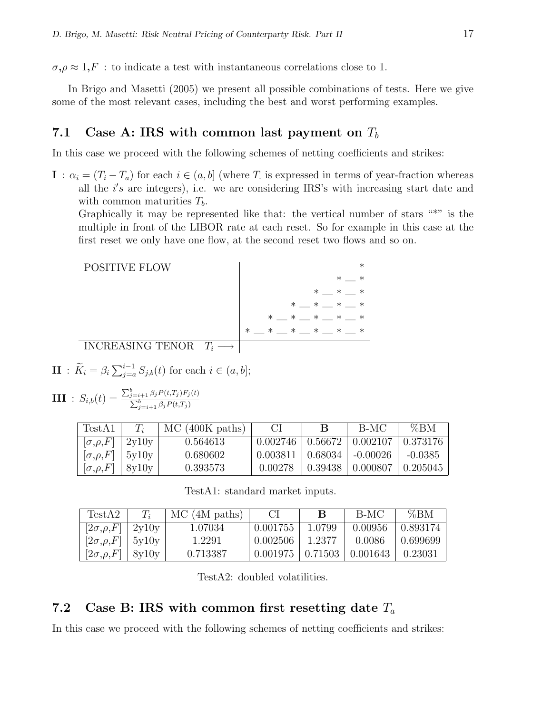$\sigma$ , $\rho \approx 1$ , F: to indicate a test with instantaneous correlations close to 1.

In Brigo and Masetti (2005) we present all possible combinations of tests. Here we give some of the most relevant cases, including the best and worst performing examples.

#### 7.1 Case A: IRS with common last payment on  $T_b$

In this case we proceed with the following schemes of netting coefficients and strikes:

 $\mathbf{I}: \alpha_i = (T_i - T_a)$  for each  $i \in (a, b]$  (where T is expressed in terms of year-fraction whereas all the  $i's$  are integers), i.e. we are considering IRS's with increasing start date and with common maturities  $T_b$ .

Graphically it may be represented like that: the vertical number of stars "\*" is the multiple in front of the LIBOR rate at each reset. So for example in this case at the first reset we only have one flow, at the second reset two flows and so on.

POSITIVE FLOW \*



INCREASING TENOR  $T_i \longrightarrow$ 

 $\mathbf{II}$  :  $\widetilde{K}_i = \beta_i \sum_{i=a}^{i-1}$  $j=a}^{i-1} S_{j,b}(t)$  for each  $i \in (a, b]$ ;

**III** : 
$$
S_{i,b}(t) = \frac{\sum_{j=i+1}^{b} \beta_j P(t,T_j) F_j(t)}{\sum_{j=i+1}^{b} \beta_j P(t,T_j)}
$$

| TestA1                      | $MC$ (400K paths) | -CT     | В | B-MC                                             | %BM     |
|-----------------------------|-------------------|---------|---|--------------------------------------------------|---------|
| $[\sigma, \rho, F]$   2y10y | 0.564613          |         |   | $0.002746$   $0.56672$   $0.002107$   $0.373176$ |         |
| $[\sigma, \rho, F]$   5y10y | 0.680602          |         |   | $0.003811 \mid 0.68034 \mid -0.00026 \mid$       | -0.0385 |
| $[\sigma, \rho, F]$   8y10y | 0.393573          | 0.00278 |   | $\mid 0.39438 \mid 0.000807 \mid 0.205045 \mid$  |         |

TestA1: standard market inputs.

| TestA2             | $T_i$ | $MC$ (4M paths) | CI.                 | В              | B-MC                                       | %BM      |
|--------------------|-------|-----------------|---------------------|----------------|--------------------------------------------|----------|
| $[2\sigma,\rho,F]$ | 2v10v | 1.07034         | 0.001755            | $\vert$ 1.0799 | 0.00956                                    | 0.893174 |
| $[2\sigma,\rho,F]$ | 5v10y | 1.2291          | $0.002506$   1.2377 |                | -0.0086                                    | 0.699699 |
| $[2\sigma,\rho,F]$ | 8y10y | 0.713387        |                     |                | $0.001975 \mid 0.71503 \mid 0.001643 \mid$ | 0.23031  |

TestA2: doubled volatilities.

### 7.2 Case B: IRS with common first resetting date  $T_a$

In this case we proceed with the following schemes of netting coefficients and strikes: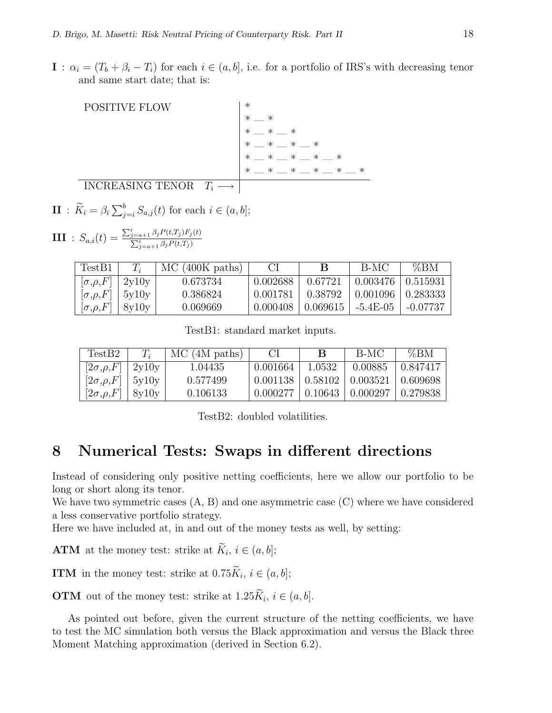I :  $\alpha_i = (T_b + \beta_i - T_i)$  for each  $i \in (a, b]$ , i.e. for a portfolio of IRS's with decreasing tenor and same start date; that is:



 $\mathbf{II}$  :  $\widetilde{K}_i = \beta_i \sum_{i}^{b}$  $_{j=i}^{b} S_{a,j}(t)$  for each  $i \in (a, b]$ ;

**III** :  $S_{a,i}(t) = \frac{\sum_{j=a+1}^{i} \beta_j P(t,T_j) F_j(t)}{\sum_{j=a+1}^{i} \beta_j P(t,T_j)}$  $\sum_{j=a+1}^{i} \beta_j P(t,T_j)$ 

| TestB1                      |       | $MC$ (400K paths) | СI       | В        | B-MC                            | %BM        |
|-----------------------------|-------|-------------------|----------|----------|---------------------------------|------------|
| $[\sigma, \rho, F]$   2y10y |       | 0.673734          | 0.002688 | 0.67721  | 0.003476   0.515931             |            |
| $[\sigma,\rho,F]$           | 5y10y | 0.386824          | 0.001781 | 0.38792  | $\mid$ 0.001096 $\mid$ 0.283333 |            |
| $ \sigma,\rho,F $           | 8y10y | 0.069669          | 0.000408 | 0.069615 | $-5.4E-05$                      | $-0.07737$ |

TestB1: standard market inputs.

| TestB2                     | $T_i$ | $MC$ (4M paths) | CI       | В                  | B-MC                                                | %BM      |
|----------------------------|-------|-----------------|----------|--------------------|-----------------------------------------------------|----------|
| $[2\sigma,\rho,F]$   2y10y |       | 1.04435         | 0.001664 | $1.0532$   0.00885 |                                                     | 0.847417 |
| $[2\sigma,\rho,F]$   5y10y |       | 0.577499        |          |                    | $0.001138 \mid 0.58102 \mid 0.003521 \mid 0.609698$ |          |
| $[2\sigma,\rho,F]$   8y10y |       | 0.106133        |          |                    | $0.000277 \mid 0.10643 \mid 0.000297 \mid 0.279838$ |          |

TestB2: doubled volatilities.

### 8 Numerical Tests: Swaps in different directions

Instead of considering only positive netting coefficients, here we allow our portfolio to be long or short along its tenor.

We have two symmetric cases (A, B) and one asymmetric case (C) where we have considered a less conservative portfolio strategy.

Here we have included at, in and out of the money tests as well, by setting:

**ATM** at the money test: strike at  $\widetilde{K}_i$ ,  $i \in (a, b]$ ;

**ITM** in the money test: strike at  $0.75\tilde{K}_i$ ,  $i \in (a, b]$ ;

**OTM** out of the money test: strike at  $1.25\tilde{K}_i$ ,  $i \in (a, b]$ .

As pointed out before, given the current structure of the netting coefficients, we have to test the MC simulation both versus the Black approximation and versus the Black three Moment Matching approximation (derived in Section 6.2).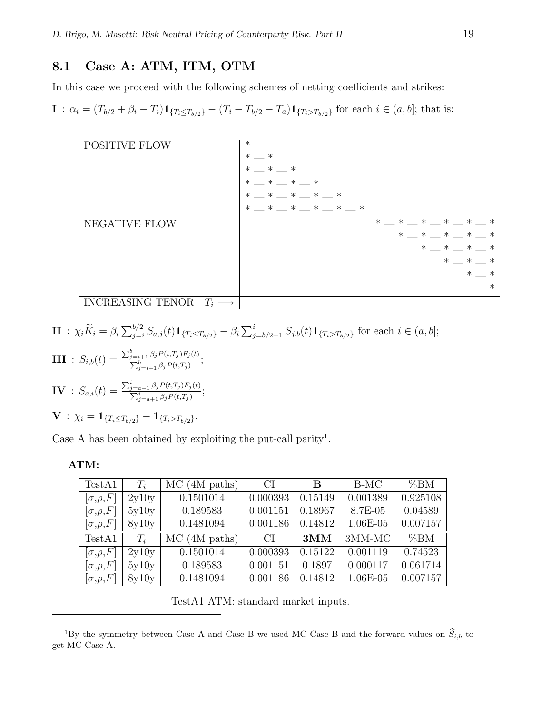### 8.1 Case A: ATM, ITM, OTM

In this case we proceed with the following schemes of netting coefficients and strikes:

$$
\mathbf{I}: \alpha_i = (T_{b/2} + \beta_i - T_i)\mathbf{1}_{\{T_i \le T_{b/2}\}} - (T_i - T_{b/2} - T_a)\mathbf{1}_{\{T_i > T_{b/2}\}}
$$
 for each  $i \in (a, b]$ ; that is:



INCREASING TENOR  $T_i$  –

**II** : 
$$
\chi_i \widetilde{K}_i = \beta_i \sum_{j=i}^{b/2} S_{a,j}(t) \mathbf{1}_{\{T_i \le T_{b/2}\}} - \beta_i \sum_{j=b/2+1}^{i} S_{j,b}(t) \mathbf{1}_{\{T_i > T_{b/2}\}}
$$
 for each  $i \in (a, b]$ ;  
\n**III** :  $S_{i,b}(t) = \frac{\sum_{j=i+1}^{b} \beta_j P(t,T_j) F_j(t)}{\sum_{j=i+1}^{b} \beta_j P(t,T_j)};$   
\n**IV** :  $S_{a,i}(t) = \frac{\sum_{j=a+1}^{i} \beta_j P(t,T_j) F_j(t)}{\sum_{j=a+1}^{i} \beta_j P(t,T_j)};$   
\n**V** :  $\chi_i = \mathbf{1}_{\{T_i \le T_{b/2}\}} - \mathbf{1}_{\{T_i > T_{b/2}\}}.$ 

Case A has been obtained by exploiting the put-call parity<sup>1</sup>.

ATM:

| TestA1              | $T_i$ | $MC$ (4M paths) | CI       | B       | B-MC       | %BM                |
|---------------------|-------|-----------------|----------|---------|------------|--------------------|
| $[\sigma,\rho,F]$   | 2y10y | 0.1501014       | 0.000393 | 0.15149 | 0.001389   | 0.925108           |
| $[\sigma,\rho,F]$   | 5y10y | 0.189583        | 0.001151 | 0.18967 | 8.7E-05    | 0.04589            |
| $[\sigma,\rho,F]$   | 8y10y | 0.1481094       | 0.001186 | 0.14812 | $1.06E-05$ | 0.007157           |
| TestA1              | $T_i$ | $MC$ (4M paths) | CI       | 3MM     | 3MM-MC     | $\%$ <sub>BM</sub> |
| $[\sigma, \rho, F]$ | 2y10y | 0.1501014       | 0.000393 | 0.15122 | 0.001119   | 0.74523            |
| $[\sigma,\rho,F]$   | 5y10y | 0.189583        | 0.001151 | 0.1897  | 0.000117   | 0.061714           |
| $[\sigma,\rho,F]$   | 8y10y | 0.1481094       | 0.001186 | 0.14812 | $1.06E-05$ | 0.007157           |

TestA1 ATM: standard market inputs.

<sup>&</sup>lt;sup>1</sup>By the symmetry between Case A and Case B we used MC Case B and the forward values on  $\hat{S}_{i,b}$  to get MC Case A.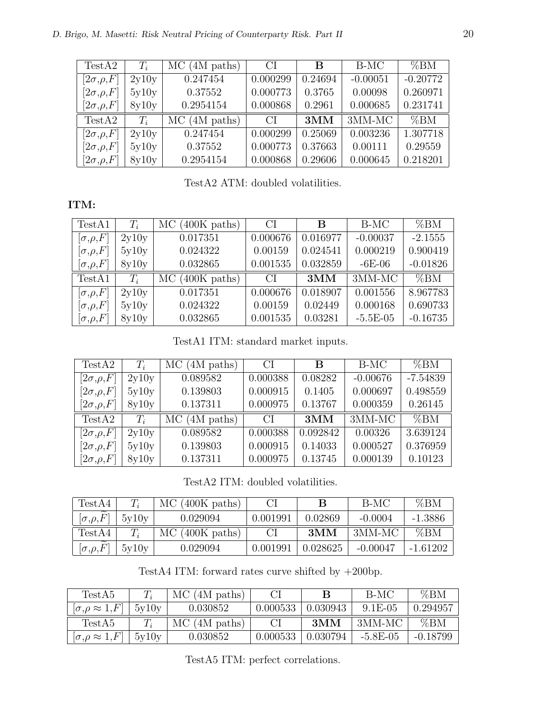| TestA2             | $T_i$ | $MC$ (4M paths) | CI        | B       | $B-MC$     | %BM        |
|--------------------|-------|-----------------|-----------|---------|------------|------------|
| $[2\sigma,\rho,F]$ | 2y10y | 0.247454        | 0.000299  | 0.24694 | $-0.00051$ | $-0.20772$ |
| $[2\sigma,\rho,F]$ | 5y10y | 0.37552         | 0.000773  | 0.3765  | 0.00098    | 0.260971   |
| $[2\sigma,\rho,F]$ | 8y10y | 0.2954154       | 0.000868  | 0.2961  | 0.000685   | 0.231741   |
| TestA2             | $T_i$ | $MC$ (4M paths) | <b>CI</b> | 3MM     | 3MM-MC     | %BM        |
| $[2\sigma,\rho,F]$ | 2y10y | 0.247454        | 0.000299  | 0.25069 | 0.003236   | 1.307718   |
| $[2\sigma,\rho,F]$ | 5y10y | 0.37552         | 0.000773  | 0.37663 | 0.00111    | 0.29559    |
| $[2\sigma,\rho,F]$ | 8y10y | 0.2954154       | 0.000868  | 0.29606 | 0.000645   | 0.218201   |

TestA2 ATM: doubled volatilities.

#### ITM:

| TestA1            | $T_i$ | $MC$ (400K paths) | CI            | В        | $B-MC$     | %BM        |
|-------------------|-------|-------------------|---------------|----------|------------|------------|
| $[\sigma,\rho,F]$ | 2v10y | 0.017351          | 0.000676      | 0.016977 | $-0.00037$ | $-2.1555$  |
| $[\sigma,\rho,F]$ | 5y10y | 0.024322          | 0.00159       | 0.024541 | 0.000219   | 0.900419   |
| $[\sigma,\rho,F]$ | 8y10y | 0.032865          | 0.001535      | 0.032859 | $-6E-06$   | $-0.01826$ |
| TestA1            | $T_i$ | $MC$ (400K paths) | <sup>CI</sup> | 3MM      | 3MM-MC     | %BM        |
| $[\sigma,\rho,F]$ | 2v10y | 0.017351          | 0.000676      | 0.018907 | 0.001556   | 8.967783   |
| $[\sigma,\rho,F]$ | 5y10y | 0.024322          | 0.00159       | 0.02449  | 0.000168   | 0.690733   |
| $[\sigma,\rho,F]$ | 8y10y | 0.032865          | 0.001535      | 0.03281  | $-5.5E-05$ | $-0.16735$ |

TestA1 ITM: standard market inputs.

| TestA2             | $T_i$ | $MC$ (4M paths) | СI       | B        | $B-MC$     | %BM        |
|--------------------|-------|-----------------|----------|----------|------------|------------|
| $[2\sigma,\rho,F]$ | 2y10y | 0.089582        | 0.000388 | 0.08282  | $-0.00676$ | $-7.54839$ |
| $[2\sigma,\rho,F]$ | 5y10y | 0.139803        | 0.000915 | 0.1405   | 0.000697   | 0.498559   |
| $[2\sigma,\rho,F]$ | 8y10y | 0.137311        | 0.000975 | 0.13767  | 0.000359   | 0.26145    |
| TestA2             | $T_i$ | $MC$ (4M paths) | CI.      | 3MM      | 3MM-MC     | %BM        |
| $[2\sigma,\rho,F]$ | 2y10y | 0.089582        | 0.000388 | 0.092842 | 0.00326    | 3.639124   |
| $[2\sigma,\rho,F]$ | 5y10y | 0.139803        | 0.000915 | 0.14033  | 0.000527   | 0.376959   |
| $[2\sigma,\rho,F]$ | 8y10y | 0.137311        | 0.000975 | 0.13745  | 0.000139   | 0.10123    |

TestA2 ITM: doubled volatilities.

| TestA4            |       | $MC$ (400K paths) |          |          | B-MC       | %BM        |
|-------------------|-------|-------------------|----------|----------|------------|------------|
| $[\sigma,\rho,F]$ | 5y10y | 0.029094          | 0.001991 | 0.02869  | $-0.0004$  | $-1.3886$  |
| TestA4            |       | $MC$ (400K paths) |          | 3MM      | 3MM-MC     | %BM        |
| $[\sigma,\rho,F]$ | 5y10y | 0.029094          | 0.001991 | 0.028625 | $-0.00047$ | $-1.61202$ |

TestA4 ITM: forward rates curve shifted by +200bp.

| TestA5                      |       | $MC$ (4M paths) |          | В        | B-MC       | %BM        |
|-----------------------------|-------|-----------------|----------|----------|------------|------------|
| $[\sigma,\rho \approx 1,F]$ | 5y10y | 0.030852        | 0.000533 | 0.030943 | $9.1E-0.5$ | 0.294957   |
| TestA5                      |       | $MC$ (4M paths) |          | 3MM      | . 3MM-MC   | %BM        |
| $[\sigma,\rho \approx 1,F]$ | 5y10y | 0.030852        | 0.000533 | 0.030794 | $-5.8E-05$ | $-0.18799$ |

TestA5 ITM: perfect correlations.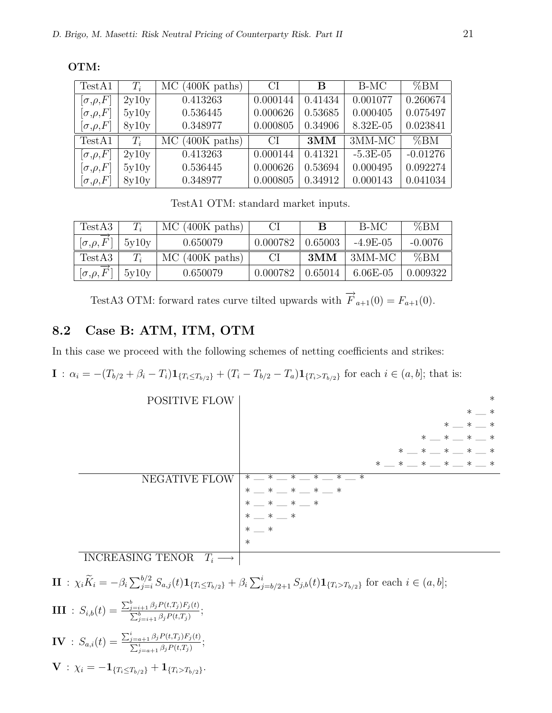| TestA1            | $T_i$ | $MC$ (400K paths) | <b>CI</b> | B       | $B-MC$     | %BM        |
|-------------------|-------|-------------------|-----------|---------|------------|------------|
| $[\sigma,\rho,F]$ | 2y10y | 0.413263          | 0.000144  | 0.41434 | 0.001077   | 0.260674   |
| $[\sigma,\rho,F]$ | 5y10y | 0.536445          | 0.000626  | 0.53685 | 0.000405   | 0.075497   |
| $[\sigma,\rho,F]$ | 8y10y | 0.348977          | 0.000805  | 0.34906 | 8.32E-05   | 0.023841   |
| TestA1            | $T_i$ | $MC$ (400K paths) | <b>CI</b> | 3MM     | $3MM-MC$   | %BM        |
| $[\sigma,\rho,F]$ | 2y10y | 0.413263          | 0.000144  | 0.41321 | $-5.3E-05$ | $-0.01276$ |
| $[\sigma,\rho,F]$ | 5y10y | 0.536445          | 0.000626  | 0.53694 | 0.000495   | 0.092274   |
| $[\sigma,\rho,F]$ | 8y10y | 0.348977          | 0.000805  | 0.34912 | 0.000143   | 0.041034   |

#### OTM:

TestA1 OTM: standard market inputs.

| TestA3                               | $T_i$ | $MC$ (400K paths) | C.                     | В                   | B-MC       | %BM       |
|--------------------------------------|-------|-------------------|------------------------|---------------------|------------|-----------|
| $[\sigma, \rho, \overrightarrow{F}]$ | 5y10y | 0.650079          | $0.000782 \pm 0.65003$ |                     | $-4.9E-05$ | $-0.0076$ |
| TestA3                               | $T_i$ | $MC$ (400K paths) | -CI                    | -3MM                | 3MM-MC     | %BM       |
| $[\sigma, \rho, \overrightarrow{F}]$ | 5y10y | 0.650079          | 0.000782               | $\mid 0.65014 \mid$ | 6.06E-05   | 0.009322  |

TestA3 OTM: forward rates curve tilted upwards with  $\overrightarrow{F}_{a+1}(0) = F_{a+1}(0)$ .

### 8.2 Case B: ATM, ITM, OTM

In this case we proceed with the following schemes of netting coefficients and strikes:

 $\mathbf{I}: \alpha_i = -(T_{b/2} + \beta_i - T_i)\mathbf{1}_{\{T_i \le T_{b/2}\}} + (T_i - T_{b/2} - T_a)\mathbf{1}_{\{T_i > T_{b/2}\}}$  for each  $i \in (a, b]$ ; that is:



**II** : 
$$
\chi_i \widetilde{K}_i = -\beta_i \sum_{j=i}^{b/2} S_{a,j}(t) \mathbf{1}_{\{T_i \le T_{b/2}\}} + \beta_i \sum_{j=b/2+1}^{i} S_{j,b}(t) \mathbf{1}_{\{T_i > T_{b/2}\}}
$$
 for each  $i \in (a, b]$ ;  
\n**III** :  $S_{i,b}(t) = \frac{\sum_{j=i+1}^{b} \beta_j P(t,T_j) F_j(t)}{\sum_{j=i+1}^{b} \beta_j P(t,T_j)}$ ;  
\n**IV** :  $S_{a,i}(t) = \frac{\sum_{j=a+1}^{i} \beta_j P(t,T_j) F_j(t)}{\sum_{j=a+1}^{i} \beta_j P(t,T_j)}$ ;  
\n**V** :  $\chi_i = -\mathbf{1}_{\{T_i \le T_{b/2}\}} + \mathbf{1}_{\{T_i > T_{b/2}\}}$ .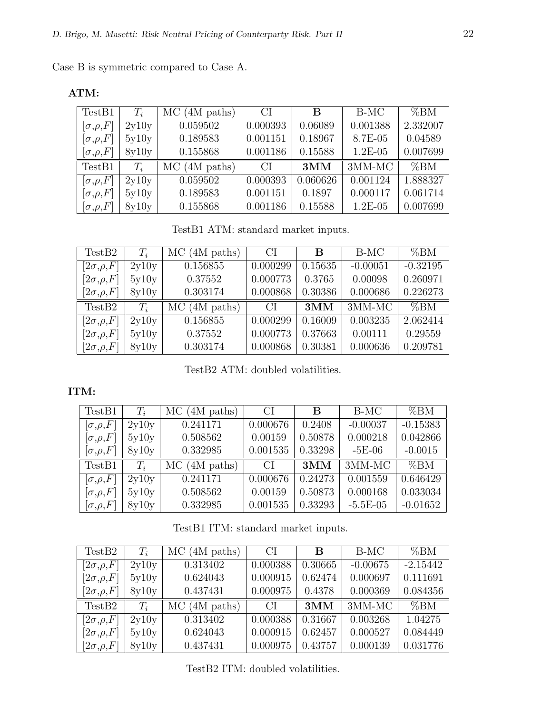Case B is symmetric compared to Case A.

| Test <sub>B1</sub> | $T_i$ | $MC$ (4M paths)            | CI       | B        | $B-MC$    | %BM      |
|--------------------|-------|----------------------------|----------|----------|-----------|----------|
| $[\sigma,\rho,F]$  | 2y10y | 0.059502                   | 0.000393 | 0.06089  | 0.001388  | 2.332007 |
| $[\sigma,\rho,F]$  | 5y10y | 0.189583                   | 0.001151 | 0.18967  | 8.7E-05   | 0.04589  |
| $[\sigma,\rho,F]$  | 8y10y | 0.155868                   | 0.001186 | 0.15588  | $1.2E-05$ | 0.007699 |
| Test <sub>B1</sub> | $T_i$ | $\overline{MC}$ (4M paths) | CI.      | 3MM      | 3MM-MC    | $\%$ BM  |
| $[\sigma,\rho,F]$  | 2v10y | 0.059502                   | 0.000393 | 0.060626 | 0.001124  | 1.888327 |
| $[\sigma,\rho,F]$  | 5y10y | 0.189583                   | 0.001151 | 0.1897   | 0.000117  | 0.061714 |
| $[\sigma,\rho,F]$  | 8y10y | 0.155868                   | 0.001186 | 0.15588  | $1.2E-05$ | 0.007699 |

#### ATM:

TestB1 ATM: standard market inputs.

| Test <sub>B2</sub> | $T_i$ | $MC$ (4M paths) | CI.            | В       | $B-MC$     | %BM        |
|--------------------|-------|-----------------|----------------|---------|------------|------------|
| $[2\sigma,\rho,F]$ | 2y10y | 0.156855        | 0.000299       | 0.15635 | $-0.00051$ | $-0.32195$ |
| $[2\sigma,\rho,F]$ | 5y10y | 0.37552         | 0.000773       | 0.3765  | 0.00098    | 0.260971   |
| $[2\sigma,\rho,F]$ | 8y10y | 0.303174        | 0.000868       | 0.30386 | 0.000686   | 0.226273   |
| Test <sub>B2</sub> | $T_i$ | $MC$ (4M paths) | <sup>C</sup> I | 3MM     | 3MM-MC     | %BM        |
| $[2\sigma,\rho,F]$ | 2y10y | 0.156855        | 0.000299       | 0.16009 | 0.003235   | 2.062414   |
| $[2\sigma,\rho,F]$ | 5y10y | 0.37552         | 0.000773       | 0.37663 | 0.00111    | 0.29559    |
| $[2\sigma,\rho,F]$ | 8y10y | 0.303174        | 0.000868       | 0.30381 | 0.000636   | 0.209781   |

TestB2 ATM: doubled volatilities.

#### ITM:

| Test <sub>B1</sub> | $T_i$ | $MC$ (4M paths) | CI       | В       | $B-MC$     | %BM        |
|--------------------|-------|-----------------|----------|---------|------------|------------|
| $[\sigma,\rho,F]$  | 2y10y | 0.241171        | 0.000676 | 0.2408  | $-0.00037$ | $-0.15383$ |
| $[\sigma,\rho,F]$  | 5y10y | 0.508562        | 0.00159  | 0.50878 | 0.000218   | 0.042866   |
| $[\sigma,\rho,F]$  | 8y10y | 0.332985        | 0.001535 | 0.33298 | $-5E-06$   | $-0.0015$  |
| Test <sub>B1</sub> | $T_i$ | $MC$ (4M paths) | CI       | 3MM     | 3MM-MC     | %BM        |
| $[\sigma,\rho,F]$  | 2y10y | 0.241171        | 0.000676 | 0.24273 | 0.001559   | 0.646429   |
| $[\sigma,\rho,F]$  | 5y10y | 0.508562        | 0.00159  | 0.50873 | 0.000168   | 0.033034   |
| $[\sigma,\rho,F]$  | 8y10y | 0.332985        | 0.001535 | 0.33293 | $-5.5E-05$ | $-0.01652$ |

TestB1 ITM: standard market inputs.

| TestB2             | $T_i$ | $MC$ (4M paths) | <b>CI</b> | B       | $B-MC$     | %BM        |
|--------------------|-------|-----------------|-----------|---------|------------|------------|
| $[2\sigma,\rho,F]$ | 2v10v | 0.313402        | 0.000388  | 0.30665 | $-0.00675$ | $-2.15442$ |
| $[2\sigma,\rho,F]$ | 5y10y | 0.624043        | 0.000915  | 0.62474 | 0.000697   | 0.111691   |
| $[2\sigma,\rho,F]$ | 8y10y | 0.437431        | 0.000975  | 0.4378  | 0.000369   | 0.084356   |
|                    |       |                 |           |         |            |            |
| Test <sub>B2</sub> | $T_i$ | $MC$ (4M paths) | CI        | 3MM     | 3MM-MC     | %BM        |
| $[2\sigma,\rho,F]$ | 2v10v | 0.313402        | 0.000388  | 0.31667 | 0.003268   | 1.04275    |
| $[2\sigma,\rho,F]$ | 5y10y | 0.624043        | 0.000915  | 0.62457 | 0.000527   | 0.084449   |

TestB2 ITM: doubled volatilities.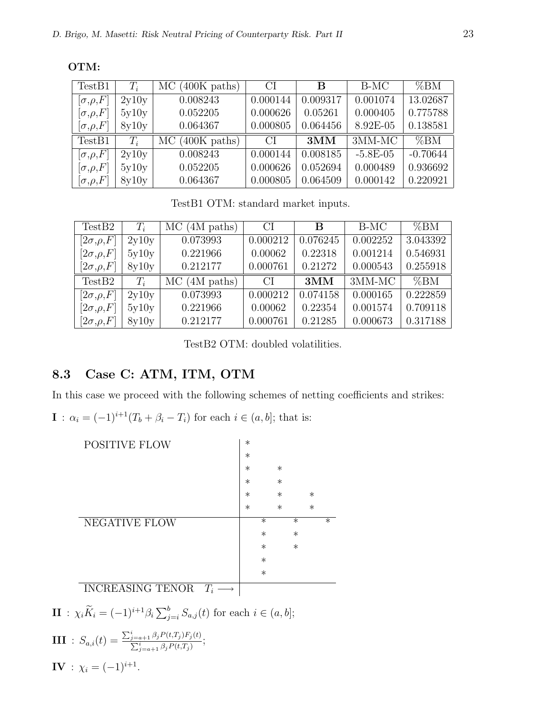| Test <sub>B1</sub> | $T_i$ | $(400K \text{ paths})$<br>MC. | <b>CI</b> | В        | $B-MC$     | %BM        |
|--------------------|-------|-------------------------------|-----------|----------|------------|------------|
| $[\sigma,\rho,F]$  | 2v10v | 0.008243                      | 0.000144  | 0.009317 | 0.001074   | 13.02687   |
| $[\sigma,\rho,F]$  | 5y10y | 0.052205                      | 0.000626  | 0.05261  | 0.000405   | 0.775788   |
| $[\sigma,\rho,F]$  | 8y10y | 0.064367                      | 0.000805  | 0.064456 | 8.92E-05   | 0.138581   |
| Test <sub>B1</sub> | $T_i$ | $MC$ (400K paths)             | <b>CI</b> | 3MM      | 3MM-MC     | %BM        |
| $[\sigma,\rho,F]$  | 2v10v | 0.008243                      | 0.000144  | 0.008185 | $-5.8E-05$ | $-0.70644$ |
| $[\sigma,\rho,F]$  | 5y10y | 0.052205                      | 0.000626  | 0.052694 | 0.000489   | 0.936692   |
| $[\sigma,\rho,F]$  | 8y10y | 0.064367                      | 0.000805  | 0.064509 | 0.000142   | 0.220921   |

OTM:

TestB1 OTM: standard market inputs.

| TestB2             | $T_i$ | $MC$ (4M paths) | <b>CI</b> | В        | $B-MC$   | %BM      |
|--------------------|-------|-----------------|-----------|----------|----------|----------|
| $[2\sigma,\rho,F]$ | 2y10y | 0.073993        | 0.000212  | 0.076245 | 0.002252 | 3.043392 |
| $[2\sigma,\rho,F]$ | 5y10y | 0.221966        | 0.00062   | 0.22318  | 0.001214 | 0.546931 |
| $[2\sigma,\rho,F]$ | 8y10y | 0.212177        | 0.000761  | 0.21272  | 0.000543 | 0.255918 |
| Test <sub>B2</sub> | $T_i$ | $MC$ (4M paths) | CI        | 3MM      | 3MM-MC   | %BM      |
| $[2\sigma,\rho,F]$ | 2v10v | 0.073993        | 0.000212  | 0.074158 | 0.000165 | 0.222859 |
| $[2\sigma,\rho,F]$ | 5y10y | 0.221966        | 0.00062   | 0.22354  | 0.001574 | 0.709118 |
| $[2\sigma,\rho,F]$ | 8y10y | 0.212177        | 0.000761  | 0.21285  | 0.000673 | 0.317188 |

TestB2 OTM: doubled volatilities.

### 8.3 Case C: ATM, ITM, OTM

In this case we proceed with the following schemes of netting coefficients and strikes:

**I** :  $\alpha_i = (-1)^{i+1}(T_b + \beta_i - T_i)$  for each  $i \in (a, b]$ ; that is:

| <b>POSITIVE FLOW</b> | ∗      |        |        |        |        |
|----------------------|--------|--------|--------|--------|--------|
|                      | $\ast$ |        |        |        |        |
|                      | $\ast$ | $\ast$ |        |        |        |
|                      | $\ast$ | $\ast$ |        |        |        |
|                      | $\ast$ | $\ast$ |        | $\ast$ |        |
|                      | $\ast$ | $\ast$ |        | $\ast$ |        |
|                      |        |        |        |        |        |
| <b>NEGATIVE FLOW</b> |        | $\ast$ | $\ast$ |        | $\ast$ |
|                      |        | $\ast$ | $\ast$ |        |        |
|                      |        | $\ast$ | $\ast$ |        |        |
|                      |        | $\ast$ |        |        |        |
|                      |        | $\ast$ |        |        |        |

**II**: 
$$
\chi_i \widetilde{K}_i = (-1)^{i+1} \beta_i \sum_{j=i}^b S_{a,j}(t)
$$
 for each  $i \in (a, b]$ ;

**III** : 
$$
S_{a,i}(t) = \frac{\sum_{j=a+1}^{i} \beta_j P(t,T_j) F_j(t)}{\sum_{j=a+1}^{i} \beta_j P(t,T_j)}
$$
;  
\n**IV** :  $\chi_i = (-1)^{i+1}$ .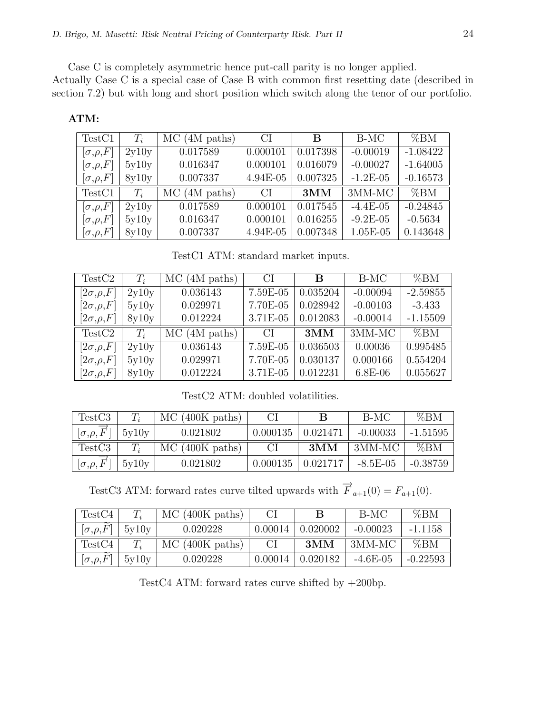Case C is completely asymmetric hence put-call parity is no longer applied. Actually Case C is a special case of Case B with common first resetting date (described in section 7.2) but with long and short position which switch along the tenor of our portfolio.

| TestC1            | $T_i$ | $MC$ (4M paths) | <b>CI</b> | В        | $B-MC$     | %BM        |
|-------------------|-------|-----------------|-----------|----------|------------|------------|
| $[\sigma,\rho,F]$ | 2y10y | 0.017589        | 0.000101  | 0.017398 | $-0.00019$ | $-1.08422$ |
| $[\sigma,\rho,F]$ | 5y10y | 0.016347        | 0.000101  | 0.016079 | $-0.00027$ | $-1.64005$ |
| $[\sigma,\rho,F]$ | 8y10y | 0.007337        | 4.94E-05  | 0.007325 | $-1.2E-05$ | $-0.16573$ |
| TestC1            | $T_i$ | $MC$ (4M paths) | CI.       | 3MM      | 3MM-MC     | %BM        |
| $[\sigma,\rho,F]$ | 2y10y | 0.017589        | 0.000101  | 0.017545 | $-4.4E-05$ | $-0.24845$ |
| $[\sigma,\rho,F]$ | 5y10y | 0.016347        | 0.000101  | 0.016255 | $-9.2E-05$ | $-0.5634$  |
| $[\sigma,\rho,F]$ | 8y10y | 0.007337        | 4.94E-05  | 0.007348 | $1.05E-05$ | 0.143648   |

ATM:

TestC1 ATM: standard market inputs.

| TestC <sub>2</sub> | $T_i$ | $MC$ (4M paths) | <b>CI</b> | В        | $B-MC$     | %BM        |
|--------------------|-------|-----------------|-----------|----------|------------|------------|
| $[2\sigma,\rho,F]$ | 2v10v | 0.036143        | 7.59E-05  | 0.035204 | $-0.00094$ | $-2.59855$ |
| $[2\sigma,\rho,F]$ | 5y10y | 0.029971        | 7.70E-05  | 0.028942 | $-0.00103$ | $-3.433$   |
| $[2\sigma,\rho,F]$ | 8y10y | 0.012224        | 3.71E-05  | 0.012083 | $-0.00014$ | $-1.15509$ |
| TestC2             | $T_i$ | $MC$ (4M paths) | CI.       | 3MM      | 3MM-MC     | %BM        |
| $[2\sigma,\rho,F]$ | 2y10y | 0.036143        | 7.59E-05  | 0.036503 | 0.00036    | 0.995485   |
| $[2\sigma,\rho,F]$ | 5y10y | 0.029971        | 7.70E-05  | 0.030137 | 0.000166   | 0.554204   |
| $[2\sigma,\rho,F]$ | 8y10y | 0.012224        | 3.71E-05  | 0.012231 | $6.8E-06$  | 0.055627   |

TestC2 ATM: doubled volatilities.

| TestC <sub>3</sub>             |       | $MC$ (400K paths) | CI       | В        | B-MC            | %BM        |
|--------------------------------|-------|-------------------|----------|----------|-----------------|------------|
| $[\sigma,\rho,\overline{F}]$   | 5y10y | 0.021802          | 0.000135 | 0.021471 | $-0.00033$      | -1.51595   |
| TestC3                         |       | $MC$ (400K paths) | CI       | 3MM      | $3\text{MM-MC}$ | %BM        |
| $[\sigma, \rho, \overline{F}]$ | 5y10y | 0.021802          | 0.000135 | 0.021717 | $-8.5E-05$      | $-0.38759$ |

TestC3 ATM: forward rates curve tilted upwards with  $\overrightarrow{F}_{a+1}(0) = F_{a+1}(0)$ .

| TestC4            |       | $MC$ (400K paths) | -CH     | В              | B-MC       | %BM       |
|-------------------|-------|-------------------|---------|----------------|------------|-----------|
| $[\sigma,\rho,F]$ | 5y10y | 0.020228          | 0.00014 | $\pm 0.020002$ | $-0.00023$ | $-1.1158$ |
|                   |       |                   |         |                |            |           |
| TestC4            |       | $MC$ (400K paths) | CI.     | -3MM           | 3MM-MC     | %BM       |

TestC4 ATM: forward rates curve shifted by +200bp.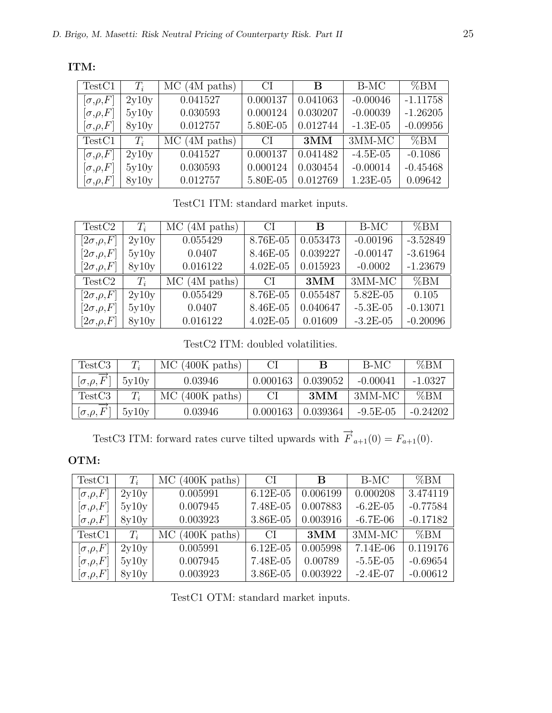| TestC1            | $T_i$ | $MC$ (4M paths)            | <b>CI</b>      | В        | $B-MC$     | %BM        |
|-------------------|-------|----------------------------|----------------|----------|------------|------------|
| $[\sigma,\rho,F]$ | 2y10y | 0.041527                   | 0.000137       | 0.041063 | $-0.00046$ | $-1.11758$ |
| $[\sigma,\rho,F]$ | 5y10y | 0.030593                   | 0.000124       | 0.030207 | $-0.00039$ | $-1.26205$ |
| $[\sigma,\rho,F]$ | 8y10y | 0.012757                   | 5.80E-05       | 0.012744 | $-1.3E-05$ | $-0.09956$ |
| TestC1            | $T_i$ | $(4M \text{ paths})$<br>МC | <sup>C</sup> I | 3MM      | 3MM-MC     | %BM        |
| $[\sigma,\rho,F]$ | 2y10y | 0.041527                   | 0.000137       | 0.041482 | $-4.5E-05$ | $-0.1086$  |
| $[\sigma,\rho,F]$ | 5y10y | 0.030593                   | 0.000124       | 0.030454 | $-0.00014$ | $-0.45468$ |
| $[\sigma,\rho,F]$ | 8y10y | 0.012757                   | 5.80E-05       | 0.012769 | 1.23E-05   | 0.09642    |

ITM:

TestC1 ITM: standard market inputs.

| TestC2             | $T_i$ | $MC$ (4M paths) | C <sub>I</sub> | B        | $B-MC$     | %BM        |
|--------------------|-------|-----------------|----------------|----------|------------|------------|
| $[2\sigma,\rho,F]$ | 2y10y | 0.055429        | 8.76E-05       | 0.053473 | $-0.00196$ | $-3.52849$ |
| $[2\sigma,\rho,F]$ | 5y10y | 0.0407          | 8.46E-05       | 0.039227 | $-0.00147$ | $-3.61964$ |
| $[2\sigma,\rho,F]$ | 8y10y | 0.016122        | $4.02E-05$     | 0.015923 | $-0.0002$  | $-1.23679$ |
| TestC <sub>2</sub> | $T_i$ | $MC$ (4M paths) | CI.            | 3MM      | 3MM-MC     | %BM        |
| $[2\sigma,\rho,F]$ | 2y10y | 0.055429        | 8.76E-05       | 0.055487 | 5.82E-05   | 0.105      |
| $[2\sigma,\rho,F]$ | 5y10y | 0.0407          | 8.46E-05       | 0.040647 | $-5.3E-05$ | $-0.13071$ |
| $[2\sigma,\rho,F]$ | 8y10y | 0.016122        | $4.02E-05$     | 0.01609  | $-3.2E-05$ | $-0.20096$ |

TestC2 ITM: doubled volatilities.

| TestC3                               |       | $MC$ (400K paths) | C.       |          | B-MC       | %BM        |
|--------------------------------------|-------|-------------------|----------|----------|------------|------------|
| $[\sigma,\rho,\overrightarrow{F}]$   | 5y10y | 0.03946           | 0.000163 | 0.039052 | $-0.00041$ | $-1.0327$  |
| TestC3                               | $T_i$ | $MC$ (400K paths) | CI       | 3MM      | 3MM-MC     | %BM        |
| $[\sigma,\!\rho,\overrightarrow{F}]$ | 5y10y | 0.03946           | 0.000163 | 0.039364 | $-9.5E-05$ | $-0.24202$ |

TestC3 ITM: forward rates curve tilted upwards with  $\overrightarrow{F}_{a+1}(0) = F_{a+1}(0)$ .

#### OTM:

| TestC1            | $T_i$ | $MC$ (400K paths) | <b>CI</b>  | B        | $B-MC$     | %BM        |
|-------------------|-------|-------------------|------------|----------|------------|------------|
| $[\sigma,\rho,F]$ | 2v10v | 0.005991          | $6.12E-05$ | 0.006199 | 0.000208   | 3.474119   |
| $[\sigma,\rho,F]$ | 5y10y | 0.007945          | 7.48E-05   | 0.007883 | $-6.2E-05$ | $-0.77584$ |
| $[\sigma,\rho,F]$ | 8y10y | 0.003923          | 3.86E-05   | 0.003916 | $-6.7E-06$ | $-0.17182$ |
| TestC1            | $T_i$ | $MC$ (400K paths) | CI         | 3MM      | 3MM-MC     | %BM        |
| $[\sigma,\rho,F]$ | 2v10v | 0.005991          | $6.12E-05$ | 0.005998 | $7.14E-06$ | 0.119176   |
| $[\sigma,\rho,F]$ | 5y10y | 0.007945          | 7.48E-05   | 0.00789  | $-5.5E-05$ | $-0.69654$ |
| $[\sigma,\rho,F]$ | 8y10y | 0.003923          | 3.86E-05   | 0.003922 | $-2.4E-07$ | $-0.00612$ |

TestC1 OTM: standard market inputs.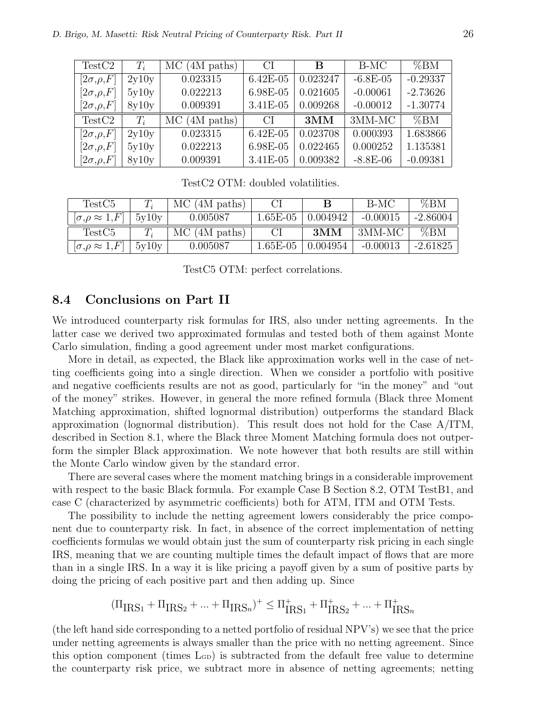| TestC2             | $T_i$ | $MC$ (4M paths) | <b>CI</b>  | B        | $B-MC$     | %BM        |
|--------------------|-------|-----------------|------------|----------|------------|------------|
| $[2\sigma,\rho,F]$ | 2y10y | 0.023315        | $6.42E-05$ | 0.023247 | $-6.8E-05$ | $-0.29337$ |
| $[2\sigma,\rho,F]$ | 5y10y | 0.022213        | 6.98E-05   | 0.021605 | $-0.00061$ | $-2.73626$ |
| $[2\sigma,\rho,F]$ | 8y10y | 0.009391        | 3.41E-05   | 0.009268 | $-0.00012$ | $-1.30774$ |
| TestC2             | $T_i$ | $MC$ (4M paths) | CI.        | 3MM      | $3MM-MC$   | %BM        |
| $[2\sigma,\rho,F]$ | 2v10v | 0.023315        | $6.42E-05$ | 0.023708 | 0.000393   | 1.683866   |
| $[2\sigma,\rho,F]$ | 5y10y | 0.022213        | 6.98E-05   | 0.022465 | 0.000252   | 1.135381   |
| $[2\sigma,\rho,F]$ | 8y10y | 0.009391        | 3.41E-05   | 0.009382 | $-8.8E-06$ | $-0.09381$ |

TestC2 OTM: doubled volatilities.

| $\mathrm{TestC5}$           |       | $MC$ (4M paths) |            | В        | B-MC       | %BM        |
|-----------------------------|-------|-----------------|------------|----------|------------|------------|
| $[\sigma,\rho \approx 1,F]$ | 5y10y | 0.005087        | $1.65E-05$ | 0.004942 | $-0.00015$ | $-2.86004$ |
| TestC5                      |       | $MC$ (4M paths) | C.         | 3MM      | 3MM-MC     | %BM        |
| $[\sigma,\rho \approx 1,F]$ | 5y10y | 0.005087        | $1.65E-05$ | 0.004954 | $-0.00013$ | $-2.61825$ |

TestC5 OTM: perfect correlations.

#### 8.4 Conclusions on Part II

We introduced counterparty risk formulas for IRS, also under netting agreements. In the latter case we derived two approximated formulas and tested both of them against Monte Carlo simulation, finding a good agreement under most market configurations.

More in detail, as expected, the Black like approximation works well in the case of netting coefficients going into a single direction. When we consider a portfolio with positive and negative coefficients results are not as good, particularly for "in the money" and "out of the money" strikes. However, in general the more refined formula (Black three Moment Matching approximation, shifted lognormal distribution) outperforms the standard Black approximation (lognormal distribution). This result does not hold for the Case A/ITM, described in Section 8.1, where the Black three Moment Matching formula does not outperform the simpler Black approximation. We note however that both results are still within the Monte Carlo window given by the standard error.

There are several cases where the moment matching brings in a considerable improvement with respect to the basic Black formula. For example Case B Section 8.2, OTM TestB1, and case C (characterized by asymmetric coefficients) both for ATM, ITM and OTM Tests.

The possibility to include the netting agreement lowers considerably the price component due to counterparty risk. In fact, in absence of the correct implementation of netting coefficients formulas we would obtain just the sum of counterparty risk pricing in each single IRS, meaning that we are counting multiple times the default impact of flows that are more than in a single IRS. In a way it is like pricing a payoff given by a sum of positive parts by doing the pricing of each positive part and then adding up. Since

$$
(\Pi_{\text{IRS}_1} + \Pi_{\text{IRS}_2} + \ldots + \Pi_{\text{IRS}_n})^+ \leq \Pi_{\text{IRS}_1}^+ + \Pi_{\text{IRS}_2}^+ + \ldots + \Pi_{\text{IRS}_n}^+
$$

(the left hand side corresponding to a netted portfolio of residual NPV's) we see that the price under netting agreements is always smaller than the price with no netting agreement. Since this option component (times  $\rm La_D$ ) is subtracted from the default free value to determine the counterparty risk price, we subtract more in absence of netting agreements; netting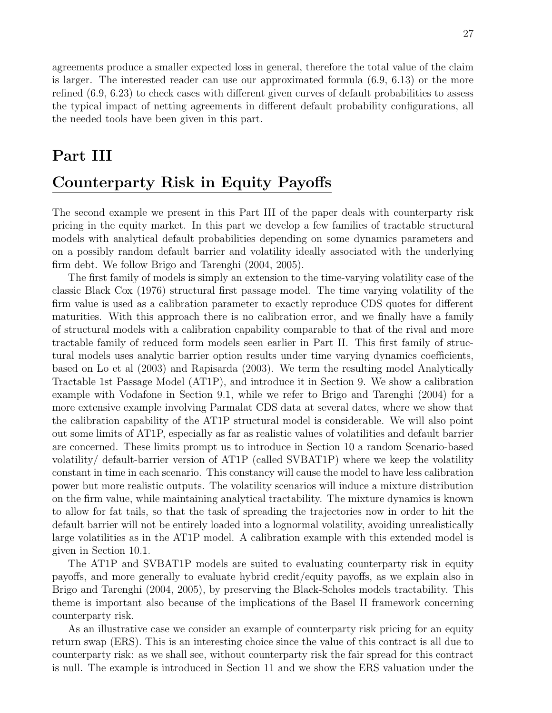agreements produce a smaller expected loss in general, therefore the total value of the claim is larger. The interested reader can use our approximated formula (6.9, 6.13) or the more refined (6.9, 6.23) to check cases with different given curves of default probabilities to assess the typical impact of netting agreements in different default probability configurations, all the needed tools have been given in this part.

### Part III

## Counterparty Risk in Equity Payoffs

The second example we present in this Part III of the paper deals with counterparty risk pricing in the equity market. In this part we develop a few families of tractable structural models with analytical default probabilities depending on some dynamics parameters and on a possibly random default barrier and volatility ideally associated with the underlying firm debt. We follow Brigo and Tarenghi (2004, 2005).

The first family of models is simply an extension to the time-varying volatility case of the classic Black Cox (1976) structural first passage model. The time varying volatility of the firm value is used as a calibration parameter to exactly reproduce CDS quotes for different maturities. With this approach there is no calibration error, and we finally have a family of structural models with a calibration capability comparable to that of the rival and more tractable family of reduced form models seen earlier in Part II. This first family of structural models uses analytic barrier option results under time varying dynamics coefficients, based on Lo et al (2003) and Rapisarda (2003). We term the resulting model Analytically Tractable 1st Passage Model (AT1P), and introduce it in Section 9. We show a calibration example with Vodafone in Section 9.1, while we refer to Brigo and Tarenghi (2004) for a more extensive example involving Parmalat CDS data at several dates, where we show that the calibration capability of the AT1P structural model is considerable. We will also point out some limits of AT1P, especially as far as realistic values of volatilities and default barrier are concerned. These limits prompt us to introduce in Section 10 a random Scenario-based volatility/ default-barrier version of AT1P (called SVBAT1P) where we keep the volatility constant in time in each scenario. This constancy will cause the model to have less calibration power but more realistic outputs. The volatility scenarios will induce a mixture distribution on the firm value, while maintaining analytical tractability. The mixture dynamics is known to allow for fat tails, so that the task of spreading the trajectories now in order to hit the default barrier will not be entirely loaded into a lognormal volatility, avoiding unrealistically large volatilities as in the AT1P model. A calibration example with this extended model is given in Section 10.1.

The AT1P and SVBAT1P models are suited to evaluating counterparty risk in equity payoffs, and more generally to evaluate hybrid credit/equity payoffs, as we explain also in Brigo and Tarenghi (2004, 2005), by preserving the Black-Scholes models tractability. This theme is important also because of the implications of the Basel II framework concerning counterparty risk.

As an illustrative case we consider an example of counterparty risk pricing for an equity return swap (ERS). This is an interesting choice since the value of this contract is all due to counterparty risk: as we shall see, without counterparty risk the fair spread for this contract is null. The example is introduced in Section 11 and we show the ERS valuation under the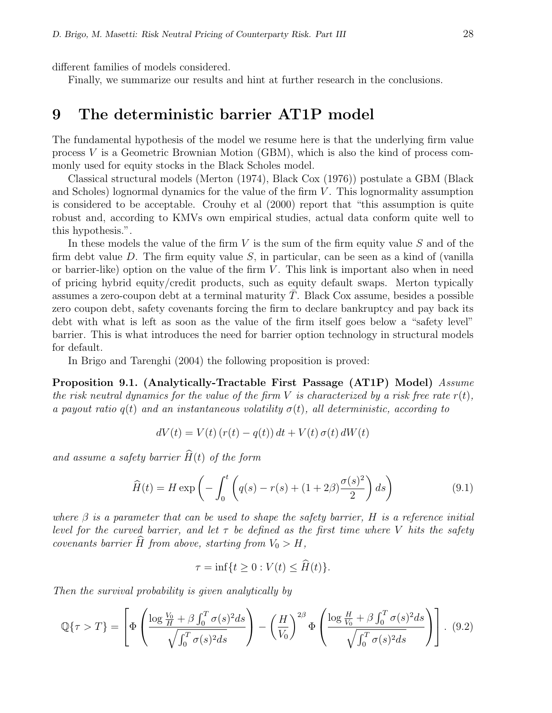different families of models considered.

Finally, we summarize our results and hint at further research in the conclusions.

## 9 The deterministic barrier AT1P model

The fundamental hypothesis of the model we resume here is that the underlying firm value process  $V$  is a Geometric Brownian Motion (GBM), which is also the kind of process commonly used for equity stocks in the Black Scholes model.

Classical structural models (Merton (1974), Black Cox (1976)) postulate a GBM (Black and Scholes) lognormal dynamics for the value of the firm  $V$ . This lognormality assumption is considered to be acceptable. Crouhy et al (2000) report that "this assumption is quite robust and, according to KMVs own empirical studies, actual data conform quite well to this hypothesis.".

In these models the value of the firm  $V$  is the sum of the firm equity value  $S$  and of the firm debt value  $D$ . The firm equity value  $S$ , in particular, can be seen as a kind of (vanilla or barrier-like) option on the value of the firm  $V$ . This link is important also when in need of pricing hybrid equity/credit products, such as equity default swaps. Merton typically assumes a zero-coupon debt at a terminal maturity  $T$ . Black Cox assume, besides a possible zero coupon debt, safety covenants forcing the firm to declare bankruptcy and pay back its debt with what is left as soon as the value of the firm itself goes below a "safety level" barrier. This is what introduces the need for barrier option technology in structural models for default.

In Brigo and Tarenghi (2004) the following proposition is proved:

Proposition 9.1. (Analytically-Tractable First Passage (AT1P) Model) Assume the risk neutral dynamics for the value of the firm V is characterized by a risk free rate  $r(t)$ , a payout ratio q(t) and an instantaneous volatility  $\sigma(t)$ , all deterministic, according to

$$
dV(t) = V(t) (r(t) - q(t)) dt + V(t) \sigma(t) dW(t)
$$

and assume a safety barrier  $\widehat{H}(t)$  of the form

$$
\widehat{H}(t) = H \exp\left(-\int_0^t \left(q(s) - r(s) + (1+2\beta)\frac{\sigma(s)^2}{2}\right) ds\right)
$$
\n(9.1)

where  $\beta$  is a parameter that can be used to shape the safety barrier, H is a reference initial level for the curved barrier, and let  $\tau$  be defined as the first time where V hits the safety covenants barrier H from above, starting from  $V_0 > H$ ,

$$
\tau = \inf\{t \ge 0 : V(t) \le \widehat{H}(t)\}.
$$

Then the survival probability is given analytically by

$$
\mathbb{Q}\{\tau > T\} = \left[\Phi\left(\frac{\log\frac{V_0}{H} + \beta\int_0^T \sigma(s)^2 ds}{\sqrt{\int_0^T \sigma(s)^2 ds}}\right) - \left(\frac{H}{V_0}\right)^{2\beta} \Phi\left(\frac{\log\frac{H}{V_0} + \beta\int_0^T \sigma(s)^2 ds}{\sqrt{\int_0^T \sigma(s)^2 ds}}\right)\right].
$$
(9.2)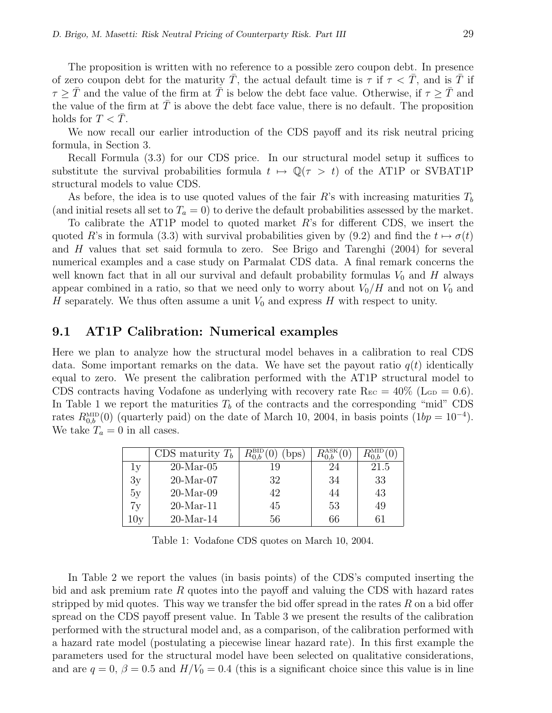The proposition is written with no reference to a possible zero coupon debt. In presence of zero coupon debt for the maturity  $\overline{T}$ , the actual default time is  $\tau$  if  $\tau < \overline{T}$ , and is  $\overline{T}$  if  $\tau \geq \overline{T}$  and the value of the firm at  $\overline{T}$  is below the debt face value. Otherwise, if  $\tau \geq \overline{T}$  and the value of the firm at  $\overline{T}$  is above the debt face value, there is no default. The proposition holds for  $T < T$ .

We now recall our earlier introduction of the CDS payoff and its risk neutral pricing formula, in Section 3.

Recall Formula (3.3) for our CDS price. In our structural model setup it suffices to substitute the survival probabilities formula  $t \mapsto \mathbb{Q}(\tau > t)$  of the AT1P or SVBAT1P structural models to value CDS.

As before, the idea is to use quoted values of the fair R's with increasing maturities  $T<sub>b</sub>$ (and initial resets all set to  $T_a = 0$ ) to derive the default probabilities assessed by the market.

To calibrate the AT1P model to quoted market R's for different CDS, we insert the quoted R's in formula (3.3) with survival probabilities given by (9.2) and find the  $t \mapsto \sigma(t)$ and H values that set said formula to zero. See Brigo and Tarenghi (2004) for several numerical examples and a case study on Parmalat CDS data. A final remark concerns the well known fact that in all our survival and default probability formulas  $V_0$  and H always appear combined in a ratio, so that we need only to worry about  $V_0/H$  and not on  $V_0$  and H separately. We thus often assume a unit  $V_0$  and express H with respect to unity.

#### 9.1 AT1P Calibration: Numerical examples

Here we plan to analyze how the structural model behaves in a calibration to real CDS data. Some important remarks on the data. We have set the payout ratio  $q(t)$  identically equal to zero. We present the calibration performed with the AT1P structural model to CDS contracts having Vodafone as underlying with recovery rate  $\text{R}_{EC} = 40\%$  (L<sub>GD</sub> = 0.6). In Table 1 we report the maturities  $T_b$  of the contracts and the corresponding "mid" CDS rates  $R_{0,b}^{\text{MID}}(0)$  (quarterly paid) on the date of March 10, 2004, in basis points  $(1bp = 10^{-4})$ . We take  $T_a = 0$  in all cases.

|    | CDS maturity $T_b$ | bps | $\bf{D}\mathrm{ASK}$ |      |
|----|--------------------|-----|----------------------|------|
| 1v | $20$ -Mar- $05$    | 19  | 24                   | 21.5 |
| 3y | $20$ -Mar-07       | 32  | 34                   | 33   |
| 5y | $20$ -Mar-09       | 42  | 44                   | 43   |
| 7v | $20$ -Mar-11       | 45  | 53                   | 49   |
|    | $20$ -Mar-14       | 56  | 66                   |      |

Table 1: Vodafone CDS quotes on March 10, 2004.

In Table 2 we report the values (in basis points) of the CDS's computed inserting the bid and ask premium rate  $R$  quotes into the payoff and valuing the CDS with hazard rates stripped by mid quotes. This way we transfer the bid offer spread in the rates  $R$  on a bid offer spread on the CDS payoff present value. In Table 3 we present the results of the calibration performed with the structural model and, as a comparison, of the calibration performed with a hazard rate model (postulating a piecewise linear hazard rate). In this first example the parameters used for the structural model have been selected on qualitative considerations, and are  $q = 0$ ,  $\beta = 0.5$  and  $H/V_0 = 0.4$  (this is a significant choice since this value is in line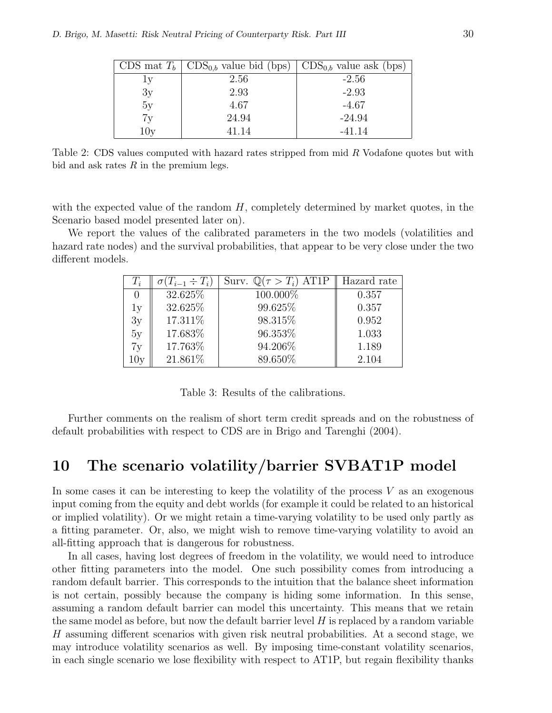|     | CDS mat $T_b$   CDS <sub>0,b</sub> value bid (bps) | $CDS_{0,b}$ value ask (bps) |
|-----|----------------------------------------------------|-----------------------------|
| ΤA  | 2.56                                               | $-2.56$                     |
| 3y  | 2.93                                               | $-2.93$                     |
| 5y  | 4.67                                               | $-4.67$                     |
| 7v  | 24.94                                              | $-24.94$                    |
| 10v | 11 14                                              | $-41.14$                    |

Table 2: CDS values computed with hazard rates stripped from mid R Vodafone quotes but with bid and ask rates  $R$  in the premium legs.

with the expected value of the random  $H$ , completely determined by market quotes, in the Scenario based model presented later on).

We report the values of the calibrated parameters in the two models (volatilities and hazard rate nodes) and the survival probabilities, that appear to be very close under the two different models.

| $T_i$ | $\sigma(T_{i-1} \div T_i)$ | Surv. $\mathbb{Q}(\tau > T_i)$ AT1P | Hazard rate |
|-------|----------------------------|-------------------------------------|-------------|
|       | 32.625\%                   | 100.000%                            | 0.357       |
| 1y    | 32.625%                    | 99.625%                             | 0.357       |
| 3y    | 17.311\%                   | 98.315%                             | 0.952       |
| 5y    | 17.683%                    | 96.353%                             | 1.033       |
| 7v    | 17.763%                    | 94.206%                             | 1.189       |
| 10y   | 21.861\%                   | 89.650%                             | 2.104       |

Table 3: Results of the calibrations.

Further comments on the realism of short term credit spreads and on the robustness of default probabilities with respect to CDS are in Brigo and Tarenghi (2004).

## 10 The scenario volatility/barrier SVBAT1P model

In some cases it can be interesting to keep the volatility of the process  $V$  as an exogenous input coming from the equity and debt worlds (for example it could be related to an historical or implied volatility). Or we might retain a time-varying volatility to be used only partly as a fitting parameter. Or, also, we might wish to remove time-varying volatility to avoid an all-fitting approach that is dangerous for robustness.

In all cases, having lost degrees of freedom in the volatility, we would need to introduce other fitting parameters into the model. One such possibility comes from introducing a random default barrier. This corresponds to the intuition that the balance sheet information is not certain, possibly because the company is hiding some information. In this sense, assuming a random default barrier can model this uncertainty. This means that we retain the same model as before, but now the default barrier level  $H$  is replaced by a random variable H assuming different scenarios with given risk neutral probabilities. At a second stage, we may introduce volatility scenarios as well. By imposing time-constant volatility scenarios, in each single scenario we lose flexibility with respect to AT1P, but regain flexibility thanks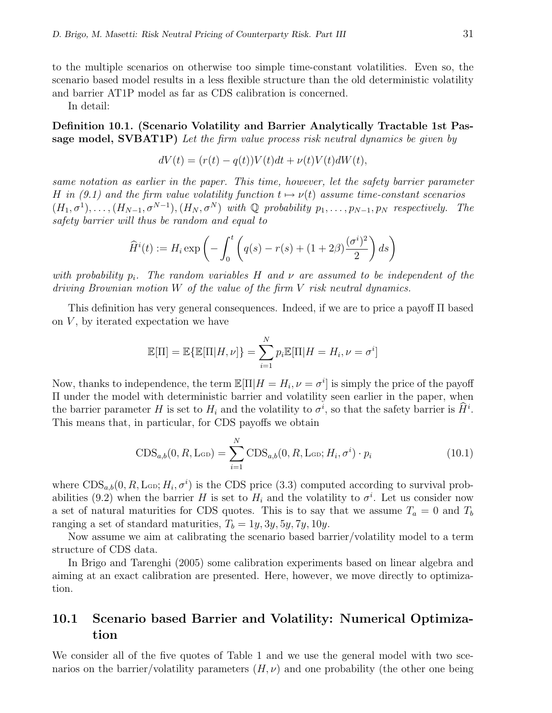to the multiple scenarios on otherwise too simple time-constant volatilities. Even so, the scenario based model results in a less flexible structure than the old deterministic volatility and barrier AT1P model as far as CDS calibration is concerned.

In detail:

Definition 10.1. (Scenario Volatility and Barrier Analytically Tractable 1st Passage model, SVBAT1P) Let the firm value process risk neutral dynamics be given by

$$
dV(t) = (r(t) - q(t))V(t)dt + \nu(t)V(t)dW(t),
$$

same notation as earlier in the paper. This time, however, let the safety barrier parameter H in (9.1) and the firm value volatility function  $t \mapsto \nu(t)$  assume time-constant scenarios  $(H_1, \sigma^1), \ldots, (H_{N-1}, \sigma^{N-1}), (H_N, \sigma^N)$  with  $\mathbb Q$  probability  $p_1, \ldots, p_{N-1}, p_N$  respectively. The safety barrier will thus be random and equal to

$$
\widehat{H}^i(t) := H_i \exp\left(-\int_0^t \left(q(s) - r(s) + (1+2\beta)\frac{(\sigma^i)^2}{2}\right) ds\right)
$$

with probability  $p_i$ . The random variables H and  $\nu$  are assumed to be independent of the driving Brownian motion  $W$  of the value of the firm  $V$  risk neutral dynamics.

This definition has very general consequences. Indeed, if we are to price a payoff Π based on  $V$ , by iterated expectation we have

$$
\mathbb{E}[\Pi] = \mathbb{E}\{\mathbb{E}[\Pi|H,\nu]\} = \sum_{i=1}^{N} p_i \mathbb{E}[\Pi|H = H_i, \nu = \sigma^i]
$$

Now, thanks to independence, the term  $\mathbb{E}[\Pi|H = H_i, \nu = \sigma^i]$  is simply the price of the payoff Π under the model with deterministic barrier and volatility seen earlier in the paper, when the barrier parameter H is set to  $H_i$  and the volatility to  $\sigma^i$ , so that the safety barrier is  $\widehat{H}^i$ . This means that, in particular, for CDS payoffs we obtain

$$
\text{CDS}_{a,b}(0, R, \text{Lop}) = \sum_{i=1}^{N} \text{CDS}_{a,b}(0, R, \text{Lop}; H_i, \sigma^i) \cdot p_i \tag{10.1}
$$

where  $CDS_{a,b}(0, R, \text{L}\omega; H_i, \sigma^i)$  is the CDS price (3.3) computed according to survival probabilities (9.2) when the barrier H is set to  $H_i$  and the volatility to  $\sigma^i$ . Let us consider now a set of natural maturities for CDS quotes. This is to say that we assume  $T_a = 0$  and  $T_b$ ranging a set of standard maturities,  $T_b = 1y, 3y, 5y, 7y, 10y$ .

Now assume we aim at calibrating the scenario based barrier/volatility model to a term structure of CDS data.

In Brigo and Tarenghi (2005) some calibration experiments based on linear algebra and aiming at an exact calibration are presented. Here, however, we move directly to optimization.

### 10.1 Scenario based Barrier and Volatility: Numerical Optimization

We consider all of the five quotes of Table 1 and we use the general model with two scenarios on the barrier/volatility parameters  $(H, \nu)$  and one probability (the other one being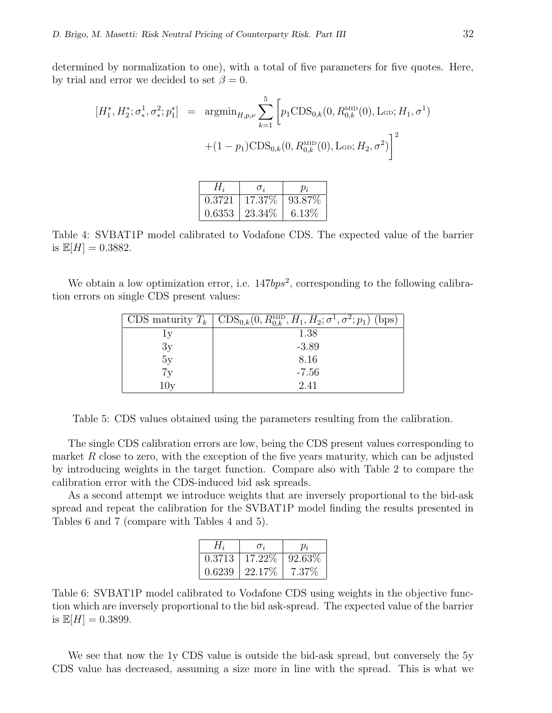determined by normalization to one), with a total of five parameters for five quotes. Here, by trial and error we decided to set  $\beta = 0$ .

$$
[H_1^*, H_2^*; \sigma_*^1, \sigma_*^2; p_1^*] = \operatorname{argmin}_{H, p, \nu} \sum_{k=1}^5 \left[ p_1 \text{CDS}_{0,k}(0, R_{0,k}^{\text{MID}}(0), \text{L}_{\text{GD}}; H_1, \sigma^1) + (1 - p_1) \text{CDS}_{0,k}(0, R_{0,k}^{\text{MID}}(0), \text{L}_{\text{GD}}; H_2, \sigma^2) \right]^2
$$

| $H_i$  | $\sigma_i$ | $p_i$    |
|--------|------------|----------|
| 0.3721 | 17.37\%    | 93.87\%  |
| 0.6353 | 23.34\%    | $6.13\%$ |

Table 4: SVBAT1P model calibrated to Vodafone CDS. The expected value of the barrier is  $\mathbb{E}[H] = 0.3882$ .

We obtain a low optimization error, i.e.  $147bps^2$ , corresponding to the following calibration errors on single CDS present values:

|            | CDS maturity $T_k   \text{CDS}_{0,k}(0, R_{0,k}^{\text{MD}}, H_1, H_2; \sigma^1, \sigma^2; p_1)$ (bps) |
|------------|--------------------------------------------------------------------------------------------------------|
| ΤĀ         | 1.38                                                                                                   |
| 3y         | $-3.89$                                                                                                |
| 5y         | 8.16                                                                                                   |
| 7v         | $-7.56$                                                                                                |
| $10\rm{v}$ | 2.41                                                                                                   |

Table 5: CDS values obtained using the parameters resulting from the calibration.

The single CDS calibration errors are low, being the CDS present values corresponding to market  $R$  close to zero, with the exception of the five years maturity, which can be adjusted by introducing weights in the target function. Compare also with Table 2 to compare the calibration error with the CDS-induced bid ask spreads.

As a second attempt we introduce weights that are inversely proportional to the bid-ask spread and repeat the calibration for the SVBAT1P model finding the results presented in Tables 6 and 7 (compare with Tables 4 and 5).

| $H_i$  | $\sigma_i$ | $p_i$  |
|--------|------------|--------|
| 0.3713 | 17.22\%    | 92.63% |
| 0.6239 | 22.17\%    | 7.37\% |

Table 6: SVBAT1P model calibrated to Vodafone CDS using weights in the objective function which are inversely proportional to the bid ask-spread. The expected value of the barrier is  $\mathbb{E}[H] = 0.3899$ .

We see that now the 1y CDS value is outside the bid-ask spread, but conversely the 5y CDS value has decreased, assuming a size more in line with the spread. This is what we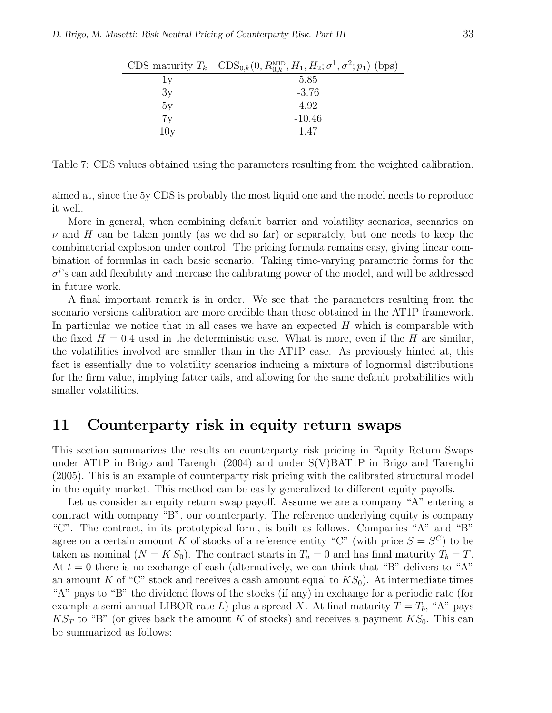|     | CDS maturity $T_k   \text{CDS}_{0,k}(0, R_{0,k}^{\text{MID}}, H_1, H_2; \sigma^1, \sigma^2; p_1)$ (bps) |  |
|-----|---------------------------------------------------------------------------------------------------------|--|
| ΤA  | 5.85                                                                                                    |  |
| 3y  | $-3.76$                                                                                                 |  |
| 5y  | 4.92                                                                                                    |  |
|     | $-10.46$                                                                                                |  |
| 10y | 1.47                                                                                                    |  |

Table 7: CDS values obtained using the parameters resulting from the weighted calibration.

aimed at, since the 5y CDS is probably the most liquid one and the model needs to reproduce it well.

More in general, when combining default barrier and volatility scenarios, scenarios on  $\nu$  and H can be taken jointly (as we did so far) or separately, but one needs to keep the combinatorial explosion under control. The pricing formula remains easy, giving linear combination of formulas in each basic scenario. Taking time-varying parametric forms for the  $\sigma^{i}$ 's can add flexibility and increase the calibrating power of the model, and will be addressed in future work.

A final important remark is in order. We see that the parameters resulting from the scenario versions calibration are more credible than those obtained in the AT1P framework. In particular we notice that in all cases we have an expected  $H$  which is comparable with the fixed  $H = 0.4$  used in the deterministic case. What is more, even if the H are similar, the volatilities involved are smaller than in the AT1P case. As previously hinted at, this fact is essentially due to volatility scenarios inducing a mixture of lognormal distributions for the firm value, implying fatter tails, and allowing for the same default probabilities with smaller volatilities.

## 11 Counterparty risk in equity return swaps

This section summarizes the results on counterparty risk pricing in Equity Return Swaps under AT1P in Brigo and Tarenghi (2004) and under S(V)BAT1P in Brigo and Tarenghi (2005). This is an example of counterparty risk pricing with the calibrated structural model in the equity market. This method can be easily generalized to different equity payoffs.

Let us consider an equity return swap payoff. Assume we are a company "A" entering a contract with company "B", our counterparty. The reference underlying equity is company "C". The contract, in its prototypical form, is built as follows. Companies "A" and "B" agree on a certain amount K of stocks of a reference entity "C" (with price  $S = S^C$ ) to be taken as nominal  $(N = KS_0)$ . The contract starts in  $T_a = 0$  and has final maturity  $T_b = T$ . At  $t = 0$  there is no exchange of cash (alternatively, we can think that "B" delivers to "A" an amount K of "C" stock and receives a cash amount equal to  $KS_0$ ). At intermediate times "A" pays to "B" the dividend flows of the stocks (if any) in exchange for a periodic rate (for example a semi-annual LIBOR rate L) plus a spread X. At final maturity  $T = T_b$ , "A" pays  $KS_T$  to "B" (or gives back the amount K of stocks) and receives a payment  $KS_0$ . This can be summarized as follows: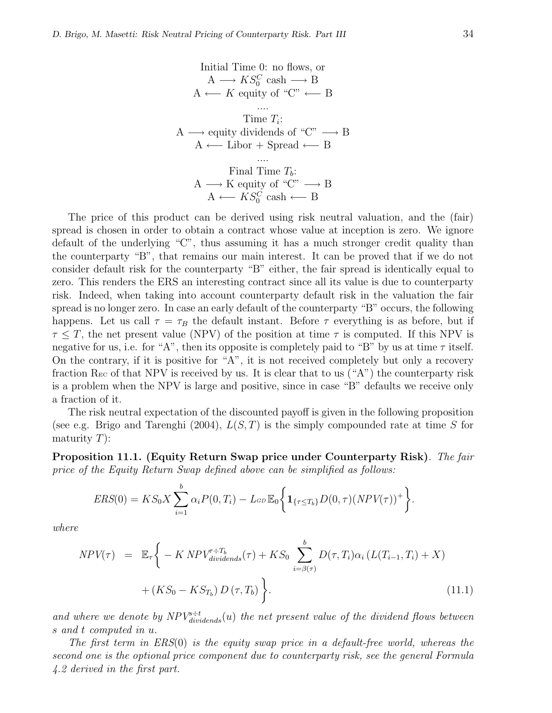Initial Time 0: no flows, or  
\n
$$
A \longrightarrow KS_0^C
$$
 cash  $\longrightarrow B$   
\n $A \longleftarrow K$  equity of "C"  $\longleftarrow B$   
\n...  
\n $\text{Time } T_i:$   
\n $A \longrightarrow \text{equity dividends of "C" } \longrightarrow B$   
\n $A \longleftarrow \text{Libor} + \text{Speed } \longleftarrow B$   
\n...  
\nFinal Time  $T_b:$   
\n $A \longrightarrow K$  equity of "C"  $\longrightarrow B$   
\n $A \longleftarrow KS_0^C \text{ cash } \longleftarrow B$ 

The price of this product can be derived using risk neutral valuation, and the (fair) spread is chosen in order to obtain a contract whose value at inception is zero. We ignore default of the underlying "C", thus assuming it has a much stronger credit quality than the counterparty "B", that remains our main interest. It can be proved that if we do not consider default risk for the counterparty "B" either, the fair spread is identically equal to zero. This renders the ERS an interesting contract since all its value is due to counterparty risk. Indeed, when taking into account counterparty default risk in the valuation the fair spread is no longer zero. In case an early default of the counterparty "B" occurs, the following happens. Let us call  $\tau = \tau_B$  the default instant. Before  $\tau$  everything is as before, but if  $\tau \leq T$ , the net present value (NPV) of the position at time  $\tau$  is computed. If this NPV is negative for us, i.e. for "A", then its opposite is completely paid to "B" by us at time  $\tau$  itself. On the contrary, if it is positive for "A", it is not received completely but only a recovery fraction R<sub>EC</sub> of that NPV is received by us. It is clear that to us  $(^\alpha A^\gamma)$  the counterparty risk is a problem when the NPV is large and positive, since in case "B" defaults we receive only a fraction of it.

The risk neutral expectation of the discounted payoff is given in the following proposition (see e.g. Brigo and Tarenghi (2004),  $L(S,T)$  is the simply compounded rate at time S for maturity  $T$ :

Proposition 11.1. (Equity Return Swap price under Counterparty Risk). The fair price of the Equity Return Swap defined above can be simplified as follows:

$$
ERS(0) = KS_0X \sum_{i=1}^{b} \alpha_i P(0, T_i) - L_{GD} \mathbb{E}_0 \bigg\{ \mathbf{1}_{\{\tau \le T_b\}} D(0, \tau) (NPV(\tau))^+ \bigg\}.
$$

where

$$
NPV(\tau) = \mathbb{E}_{\tau} \Bigg\{ -KNPV_{dividends}^{\tau+T_b}(\tau) + KS_0 \sum_{i=\beta(\tau)}^{b} D(\tau, T_i) \alpha_i (L(T_{i-1}, T_i) + X) + (KS_0 - KS_{T_b}) D(\tau, T_b) \Bigg\}.
$$
\n(11.1)

and where we denote by  $NPV_{dividends}^{s+t}(u)$  the net present value of the dividend flows between s and t computed in u.

The first term in  $ERS(0)$  is the equity swap price in a default-free world, whereas the second one is the optional price component due to counterparty risk, see the general Formula 4.2 derived in the first part.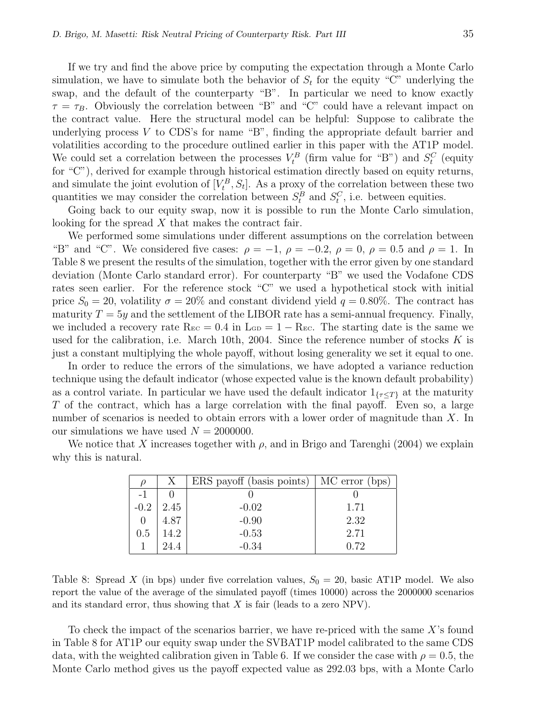If we try and find the above price by computing the expectation through a Monte Carlo simulation, we have to simulate both the behavior of  $S_t$  for the equity "C" underlying the swap, and the default of the counterparty "B". In particular we need to know exactly  $\tau = \tau_B$ . Obviously the correlation between "B" and "C" could have a relevant impact on the contract value. Here the structural model can be helpful: Suppose to calibrate the underlying process  $V$  to CDS's for name "B", finding the appropriate default barrier and volatilities according to the procedure outlined earlier in this paper with the AT1P model. We could set a correlation between the processes  $V_t^B$  (firm value for "B") and  $S_t^C$  (equity for "C"), derived for example through historical estimation directly based on equity returns, and simulate the joint evolution of  $[V_t^B, S_t]$ . As a proxy of the correlation between these two quantities we may consider the correlation between  $S_t^B$  and  $S_t^C$ , i.e. between equities.

Going back to our equity swap, now it is possible to run the Monte Carlo simulation, looking for the spread X that makes the contract fair.

We performed some simulations under different assumptions on the correlation between "B" and "C". We considered five cases:  $\rho = -1$ ,  $\rho = -0.2$ ,  $\rho = 0$ ,  $\rho = 0.5$  and  $\rho = 1$ . In Table 8 we present the results of the simulation, together with the error given by one standard deviation (Monte Carlo standard error). For counterparty "B" we used the Vodafone CDS rates seen earlier. For the reference stock "C" we used a hypothetical stock with initial price  $S_0 = 20$ , volatility  $\sigma = 20\%$  and constant dividend yield  $q = 0.80\%$ . The contract has maturity  $T = 5y$  and the settlement of the LIBOR rate has a semi-annual frequency. Finally, we included a recovery rate  $\text{R}_{\text{EC}} = 0.4$  in  $\text{L}_{\text{GD}} = 1 - \text{R}_{\text{EC}}$ . The starting date is the same we used for the calibration, i.e. March 10th, 2004. Since the reference number of stocks  $K$  is just a constant multiplying the whole payoff, without losing generality we set it equal to one.

In order to reduce the errors of the simulations, we have adopted a variance reduction technique using the default indicator (whose expected value is the known default probability) as a control variate. In particular we have used the default indicator  $1_{\{\tau\leq T\}}$  at the maturity T of the contract, which has a large correlation with the final payoff. Even so, a large number of scenarios is needed to obtain errors with a lower order of magnitude than  $X$ . In our simulations we have used  $N = 2000000$ .

We notice that X increases together with  $\rho$ , and in Brigo and Tarenghi (2004) we explain why this is natural.

|         | Х    | ERS payoff (basis points) | $\vert$ MC error (bps) |
|---------|------|---------------------------|------------------------|
| -1      |      |                           |                        |
| $-0.2$  | 2.45 | $-0.02$                   | 1.71                   |
|         | 4.87 | $-0.90$                   | 2.32                   |
| $0.5\,$ | 14.2 | $-0.53$                   | 2.71                   |
|         |      | $-0.34$                   | 0.72                   |

Table 8: Spread X (in bps) under five correlation values,  $S_0 = 20$ , basic AT1P model. We also report the value of the average of the simulated payoff (times 10000) across the 2000000 scenarios and its standard error, thus showing that  $X$  is fair (leads to a zero NPV).

To check the impact of the scenarios barrier, we have re-priced with the same  $X$ 's found in Table 8 for AT1P our equity swap under the SVBAT1P model calibrated to the same CDS data, with the weighted calibration given in Table 6. If we consider the case with  $\rho = 0.5$ , the Monte Carlo method gives us the payoff expected value as 292.03 bps, with a Monte Carlo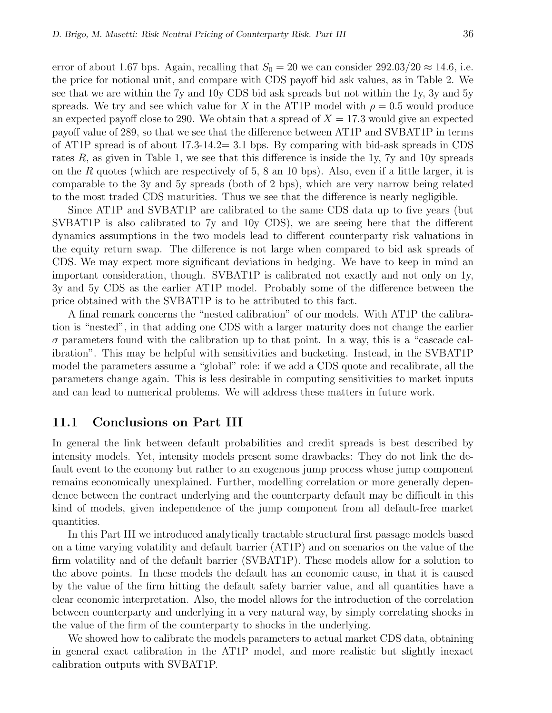error of about 1.67 bps. Again, recalling that  $S_0 = 20$  we can consider  $292.03/20 \approx 14.6$ , i.e. the price for notional unit, and compare with CDS payoff bid ask values, as in Table 2. We see that we are within the 7y and 10y CDS bid ask spreads but not within the 1y, 3y and 5y spreads. We try and see which value for X in the AT1P model with  $\rho = 0.5$  would produce an expected payoff close to 290. We obtain that a spread of  $X = 17.3$  would give an expected payoff value of 289, so that we see that the difference between AT1P and SVBAT1P in terms of AT1P spread is of about 17.3-14.2= 3.1 bps. By comparing with bid-ask spreads in CDS rates  $R$ , as given in Table 1, we see that this difference is inside the 1y, 7y and 10y spreads on the R quotes (which are respectively of 5, 8 an 10 bps). Also, even if a little larger, it is comparable to the 3y and 5y spreads (both of 2 bps), which are very narrow being related to the most traded CDS maturities. Thus we see that the difference is nearly negligible.

Since AT1P and SVBAT1P are calibrated to the same CDS data up to five years (but SVBAT1P is also calibrated to 7y and 10y CDS), we are seeing here that the different dynamics assumptions in the two models lead to different counterparty risk valuations in the equity return swap. The difference is not large when compared to bid ask spreads of CDS. We may expect more significant deviations in hedging. We have to keep in mind an important consideration, though. SVBAT1P is calibrated not exactly and not only on 1y, 3y and 5y CDS as the earlier AT1P model. Probably some of the difference between the price obtained with the SVBAT1P is to be attributed to this fact.

A final remark concerns the "nested calibration" of our models. With AT1P the calibration is "nested", in that adding one CDS with a larger maturity does not change the earlier  $\sigma$  parameters found with the calibration up to that point. In a way, this is a "cascade calibration". This may be helpful with sensitivities and bucketing. Instead, in the SVBAT1P model the parameters assume a "global" role: if we add a CDS quote and recalibrate, all the parameters change again. This is less desirable in computing sensitivities to market inputs and can lead to numerical problems. We will address these matters in future work.

#### 11.1 Conclusions on Part III

In general the link between default probabilities and credit spreads is best described by intensity models. Yet, intensity models present some drawbacks: They do not link the default event to the economy but rather to an exogenous jump process whose jump component remains economically unexplained. Further, modelling correlation or more generally dependence between the contract underlying and the counterparty default may be difficult in this kind of models, given independence of the jump component from all default-free market quantities.

In this Part III we introduced analytically tractable structural first passage models based on a time varying volatility and default barrier (AT1P) and on scenarios on the value of the firm volatility and of the default barrier (SVBAT1P). These models allow for a solution to the above points. In these models the default has an economic cause, in that it is caused by the value of the firm hitting the default safety barrier value, and all quantities have a clear economic interpretation. Also, the model allows for the introduction of the correlation between counterparty and underlying in a very natural way, by simply correlating shocks in the value of the firm of the counterparty to shocks in the underlying.

We showed how to calibrate the models parameters to actual market CDS data, obtaining in general exact calibration in the AT1P model, and more realistic but slightly inexact calibration outputs with SVBAT1P.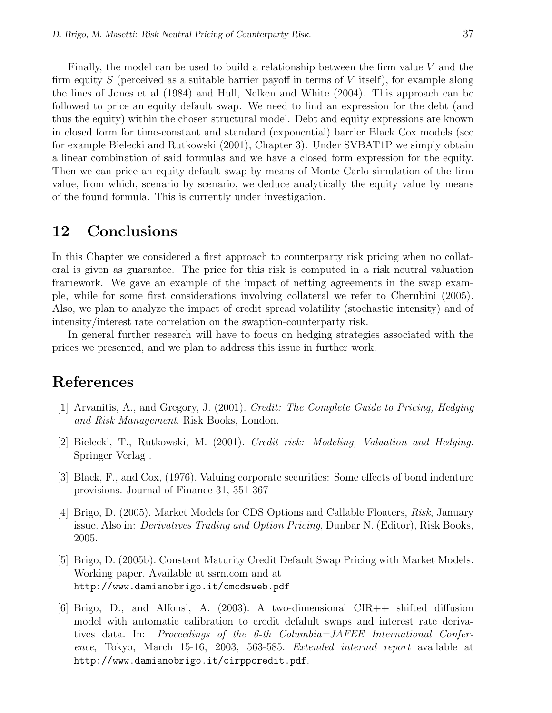Finally, the model can be used to build a relationship between the firm value V and the firm equity S (perceived as a suitable barrier payoff in terms of  $V$  itself), for example along the lines of Jones et al (1984) and Hull, Nelken and White (2004). This approach can be followed to price an equity default swap. We need to find an expression for the debt (and thus the equity) within the chosen structural model. Debt and equity expressions are known in closed form for time-constant and standard (exponential) barrier Black Cox models (see for example Bielecki and Rutkowski (2001), Chapter 3). Under SVBAT1P we simply obtain a linear combination of said formulas and we have a closed form expression for the equity. Then we can price an equity default swap by means of Monte Carlo simulation of the firm value, from which, scenario by scenario, we deduce analytically the equity value by means of the found formula. This is currently under investigation.

### 12 Conclusions

In this Chapter we considered a first approach to counterparty risk pricing when no collateral is given as guarantee. The price for this risk is computed in a risk neutral valuation framework. We gave an example of the impact of netting agreements in the swap example, while for some first considerations involving collateral we refer to Cherubini (2005). Also, we plan to analyze the impact of credit spread volatility (stochastic intensity) and of intensity/interest rate correlation on the swaption-counterparty risk.

In general further research will have to focus on hedging strategies associated with the prices we presented, and we plan to address this issue in further work.

## References

- [1] Arvanitis, A., and Gregory, J. (2001). Credit: The Complete Guide to Pricing, Hedging and Risk Management. Risk Books, London.
- [2] Bielecki, T., Rutkowski, M. (2001). Credit risk: Modeling, Valuation and Hedging. Springer Verlag .
- [3] Black, F., and Cox, (1976). Valuing corporate securities: Some effects of bond indenture provisions. Journal of Finance 31, 351-367
- [4] Brigo, D. (2005). Market Models for CDS Options and Callable Floaters, Risk, January issue. Also in: *Derivatives Trading and Option Pricing*, Dunbar N. (Editor), Risk Books, 2005.
- [5] Brigo, D. (2005b). Constant Maturity Credit Default Swap Pricing with Market Models. Working paper. Available at ssrn.com and at http://www.damianobrigo.it/cmcdsweb.pdf
- [6] Brigo, D., and Alfonsi, A. (2003). A two-dimensional CIR++ shifted diffusion model with automatic calibration to credit defalult swaps and interest rate derivatives data. In: Proceedings of the 6-th Columbia=JAFEE International Conference, Tokyo, March 15-16, 2003, 563-585. Extended internal report available at http://www.damianobrigo.it/cirppcredit.pdf.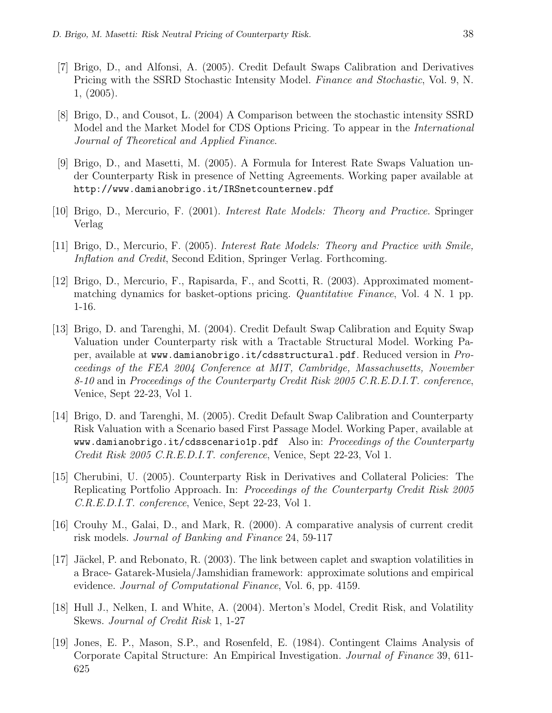- [7] Brigo, D., and Alfonsi, A. (2005). Credit Default Swaps Calibration and Derivatives Pricing with the SSRD Stochastic Intensity Model. Finance and Stochastic, Vol. 9, N. 1, (2005).
- [8] Brigo, D., and Cousot, L. (2004) A Comparison between the stochastic intensity SSRD Model and the Market Model for CDS Options Pricing. To appear in the International Journal of Theoretical and Applied Finance.
- [9] Brigo, D., and Masetti, M. (2005). A Formula for Interest Rate Swaps Valuation under Counterparty Risk in presence of Netting Agreements. Working paper available at http://www.damianobrigo.it/IRSnetcounternew.pdf
- [10] Brigo, D., Mercurio, F. (2001). Interest Rate Models: Theory and Practice. Springer Verlag
- [11] Brigo, D., Mercurio, F. (2005). Interest Rate Models: Theory and Practice with Smile, Inflation and Credit, Second Edition, Springer Verlag. Forthcoming.
- [12] Brigo, D., Mercurio, F., Rapisarda, F., and Scotti, R. (2003). Approximated momentmatching dynamics for basket-options pricing. *Quantitative Finance*, Vol. 4 N. 1 pp. 1-16.
- [13] Brigo, D. and Tarenghi, M. (2004). Credit Default Swap Calibration and Equity Swap Valuation under Counterparty risk with a Tractable Structural Model. Working Paper, available at www.damianobrigo.it/cdsstructural.pdf. Reduced version in Proceedings of the FEA 2004 Conference at MIT, Cambridge, Massachusetts, November 8-10 and in Proceedings of the Counterparty Credit Risk 2005 C.R.E.D.I.T. conference, Venice, Sept 22-23, Vol 1.
- [14] Brigo, D. and Tarenghi, M. (2005). Credit Default Swap Calibration and Counterparty Risk Valuation with a Scenario based First Passage Model. Working Paper, available at www.damianobrigo.it/cdsscenario1p.pdf Also in: Proceedings of the Counterparty Credit Risk 2005 C.R.E.D.I.T. conference, Venice, Sept 22-23, Vol 1.
- [15] Cherubini, U. (2005). Counterparty Risk in Derivatives and Collateral Policies: The Replicating Portfolio Approach. In: Proceedings of the Counterparty Credit Risk 2005 C.R.E.D.I.T. conference, Venice, Sept 22-23, Vol 1.
- [16] Crouhy M., Galai, D., and Mark, R. (2000). A comparative analysis of current credit risk models. Journal of Banking and Finance 24, 59-117
- [17] Jäckel, P. and Rebonato, R. (2003). The link between caplet and swaption volatilities in a Brace- Gatarek-Musiela/Jamshidian framework: approximate solutions and empirical evidence. Journal of Computational Finance, Vol. 6, pp. 4159.
- [18] Hull J., Nelken, I. and White, A. (2004). Merton's Model, Credit Risk, and Volatility Skews. Journal of Credit Risk 1, 1-27
- [19] Jones, E. P., Mason, S.P., and Rosenfeld, E. (1984). Contingent Claims Analysis of Corporate Capital Structure: An Empirical Investigation. Journal of Finance 39, 611- 625